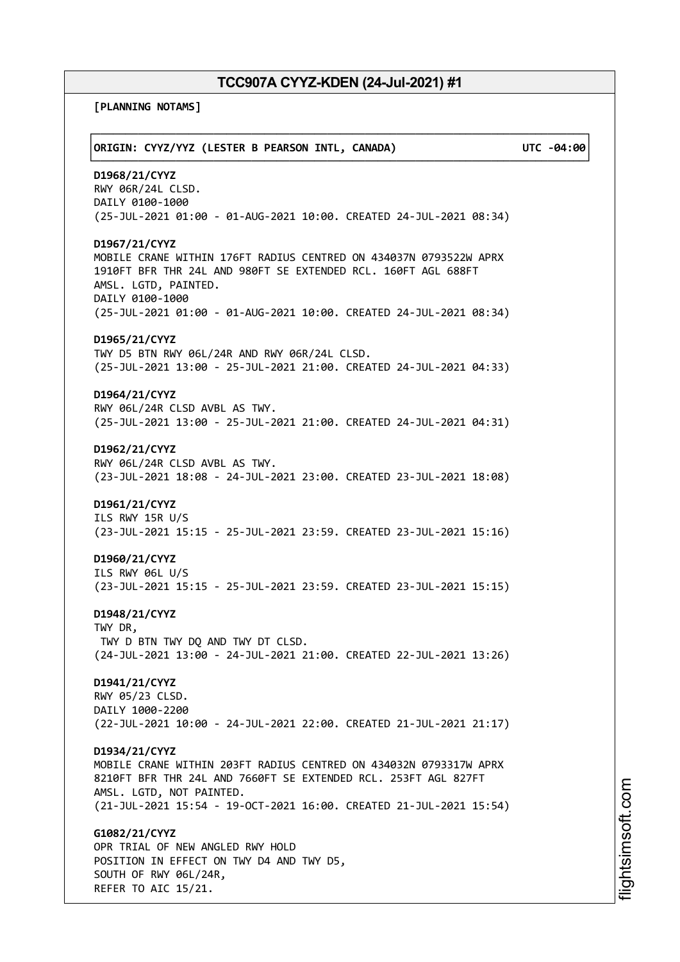**[PLANNING NOTAMS]**

| ORIGIN: CYYZ/YYZ (LESTER B PEARSON INTL, CANADA)                                                                                                                                                                                                       | UTC -04:00 |
|--------------------------------------------------------------------------------------------------------------------------------------------------------------------------------------------------------------------------------------------------------|------------|
| D1968/21/CYYZ<br>RWY 06R/24L CLSD.<br>DAILY 0100-1000<br>(25-JUL-2021 01:00 - 01-AUG-2021 10:00. CREATED 24-JUL-2021 08:34)                                                                                                                            |            |
| D1967/21/CYYZ<br>MOBILE CRANE WITHIN 176FT RADIUS CENTRED ON 434037N 0793522W APRX<br>1910FT BFR THR 24L AND 980FT SE EXTENDED RCL. 160FT AGL 688FT<br>AMSL. LGTD, PAINTED.<br>DAILY 0100-1000                                                         |            |
| (25-JUL-2021 01:00 - 01-AUG-2021 10:00. CREATED 24-JUL-2021 08:34)<br>D1965/21/CYYZ<br>TWY D5 BTN RWY 06L/24R AND RWY 06R/24L CLSD.<br>(25-JUL-2021 13:00 - 25-JUL-2021 21:00. CREATED 24-JUL-2021 04:33)                                              |            |
| D1964/21/CYYZ<br>RWY 06L/24R CLSD AVBL AS TWY.<br>(25-JUL-2021 13:00 - 25-JUL-2021 21:00. CREATED 24-JUL-2021 04:31)                                                                                                                                   |            |
| D1962/21/CYYZ<br>RWY 06L/24R CLSD AVBL AS TWY.<br>(23-JUL-2021 18:08 - 24-JUL-2021 23:00. CREATED 23-JUL-2021 18:08)                                                                                                                                   |            |
| D1961/21/CYYZ<br>ILS RWY 15R U/S<br>(23-JUL-2021 15:15 - 25-JUL-2021 23:59. CREATED 23-JUL-2021 15:16)                                                                                                                                                 |            |
| D1960/21/CYYZ<br>ILS RWY 06L U/S<br>(23-JUL-2021 15:15 - 25-JUL-2021 23:59. CREATED 23-JUL-2021 15:15)                                                                                                                                                 |            |
| D1948/21/CYYZ<br>TWY DR,<br>TWY D BTN TWY DQ AND TWY DT CLSD.<br>(24-JUL-2021 13:00 - 24-JUL-2021 21:00. CREATED 22-JUL-2021 13:26)                                                                                                                    |            |
| D1941/21/CYYZ<br>RWY 05/23 CLSD.<br>DAILY 1000-2200<br>(22-JUL-2021 10:00 - 24-JUL-2021 22:00. CREATED 21-JUL-2021 21:17)                                                                                                                              |            |
| D1934/21/CYYZ<br>MOBILE CRANE WITHIN 203FT RADIUS CENTRED ON 434032N 0793317W APRX<br>8210FT BFR THR 24L AND 7660FT SE EXTENDED RCL. 253FT AGL 827FT<br>AMSL. LGTD, NOT PAINTED.<br>(21-JUL-2021 15:54 - 19-OCT-2021 16:00. CREATED 21-JUL-2021 15:54) |            |
| G1082/21/CYYZ<br>OPR TRIAL OF NEW ANGLED RWY HOLD<br>POSITION IN EFFECT ON TWY D4 AND TWY D5,<br>SOUTH OF RWY 06L/24R,<br>REFER TO AIC 15/21.                                                                                                          |            |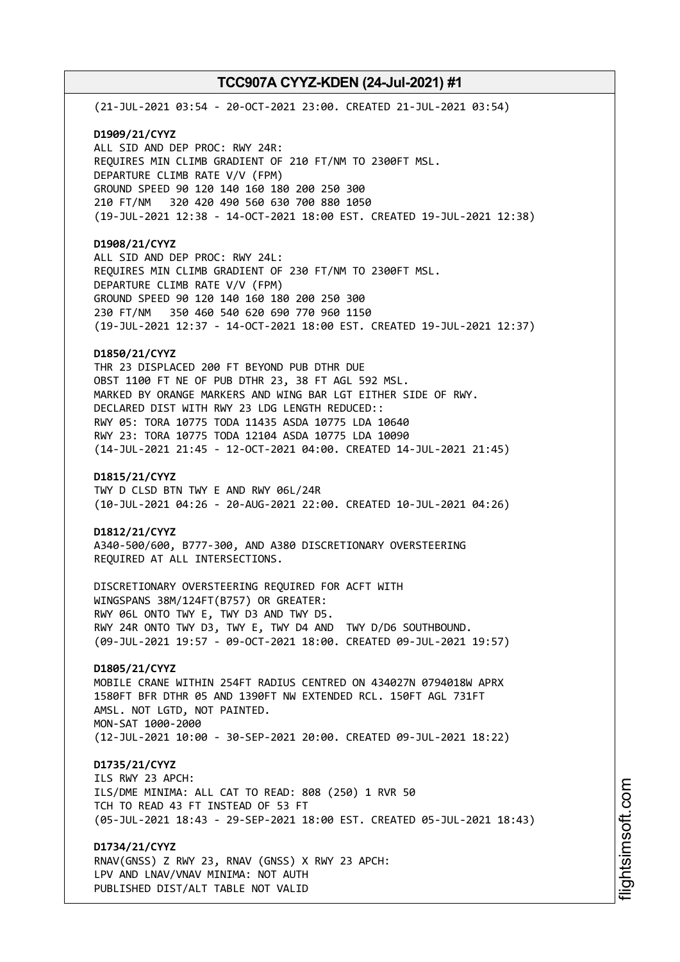(21-JUL-2021 03:54 - 20-OCT-2021 23:00. CREATED 21-JUL-2021 03:54)

**D1909/21/CYYZ** ALL SID AND DEP PROC: RWY 24R: REQUIRES MIN CLIMB GRADIENT OF 210 FT/NM TO 2300FT MSL. DEPARTURE CLIMB RATE V/V (FPM) GROUND SPEED 90 120 140 160 180 200 250 300 210 FT/NM 320 420 490 560 630 700 880 1050 (19-JUL-2021 12:38 - 14-OCT-2021 18:00 EST. CREATED 19-JUL-2021 12:38)

# **D1908/21/CYYZ**

ALL SID AND DEP PROC: RWY 24L: REQUIRES MIN CLIMB GRADIENT OF 230 FT/NM TO 2300FT MSL. DEPARTURE CLIMB RATE V/V (FPM) GROUND SPEED 90 120 140 160 180 200 250 300 230 FT/NM 350 460 540 620 690 770 960 1150 (19-JUL-2021 12:37 - 14-OCT-2021 18:00 EST. CREATED 19-JUL-2021 12:37)

## **D1850/21/CYYZ**

THR 23 DISPLACED 200 FT BEYOND PUB DTHR DUE OBST 1100 FT NE OF PUB DTHR 23, 38 FT AGL 592 MSL. MARKED BY ORANGE MARKERS AND WING BAR LGT EITHER SIDE OF RWY. DECLARED DIST WITH RWY 23 LDG LENGTH REDUCED:: RWY 05: TORA 10775 TODA 11435 ASDA 10775 LDA 10640 RWY 23: TORA 10775 TODA 12104 ASDA 10775 LDA 10090 (14-JUL-2021 21:45 - 12-OCT-2021 04:00. CREATED 14-JUL-2021 21:45)

### **D1815/21/CYYZ**

TWY D CLSD BTN TWY E AND RWY 06L/24R (10-JUL-2021 04:26 - 20-AUG-2021 22:00. CREATED 10-JUL-2021 04:26)

#### **D1812/21/CYYZ**

A340-500/600, B777-300, AND A380 DISCRETIONARY OVERSTEERING REQUIRED AT ALL INTERSECTIONS.

DISCRETIONARY OVERSTEERING REQUIRED FOR ACFT WITH WINGSPANS 38M/124FT(B757) OR GREATER: RWY 06L ONTO TWY E, TWY D3 AND TWY D5. RWY 24R ONTO TWY D3, TWY E, TWY D4 AND TWY D/D6 SOUTHBOUND. (09-JUL-2021 19:57 - 09-OCT-2021 18:00. CREATED 09-JUL-2021 19:57)

# **D1805/21/CYYZ**

MOBILE CRANE WITHIN 254FT RADIUS CENTRED ON 434027N 0794018W APRX 1580FT BFR DTHR 05 AND 1390FT NW EXTENDED RCL. 150FT AGL 731FT AMSL. NOT LGTD, NOT PAINTED. MON-SAT 1000-2000 (12-JUL-2021 10:00 - 30-SEP-2021 20:00. CREATED 09-JUL-2021 18:22)

# **D1735/21/CYYZ**

ILS RWY 23 APCH: ILS/DME MINIMA: ALL CAT TO READ: 808 (250) 1 RVR 50 TCH TO READ 43 FT INSTEAD OF 53 FT (05-JUL-2021 18:43 - 29-SEP-2021 18:00 EST. CREATED 05-JUL-2021 18:43)

**D1734/21/CYYZ** RNAV(GNSS) Z RWY 23, RNAV (GNSS) X RWY 23 APCH: LPV AND LNAV/VNAV MINIMA: NOT AUTH

PUBLISHED DIST/ALT TABLE NOT VALID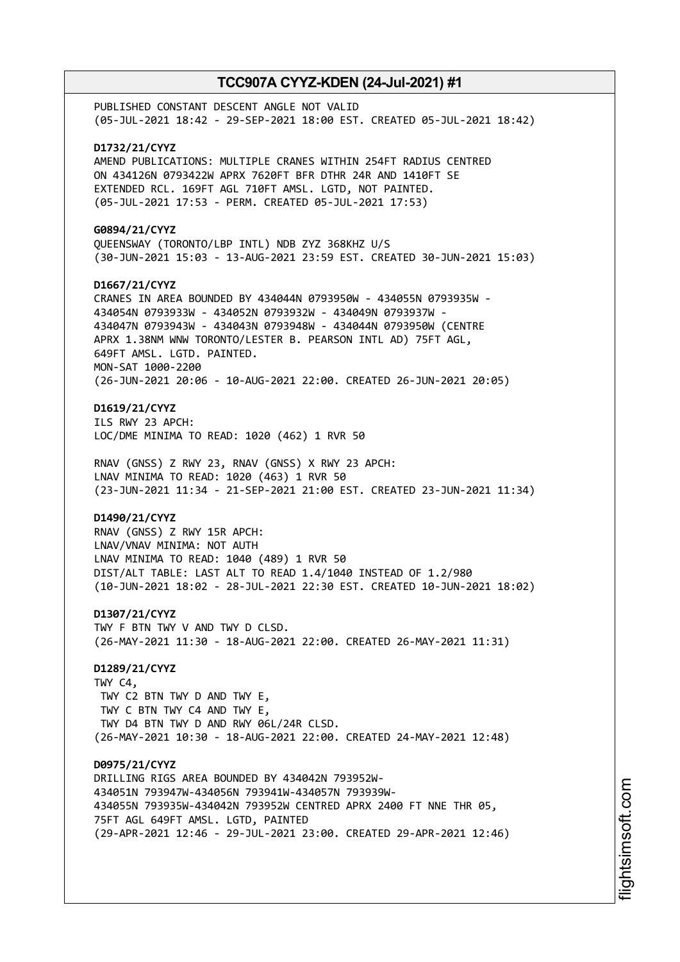PUBLISHED CONSTANT DESCENT ANGLE NOT VALID (05-JUL-2021 18:42 - 29-SEP-2021 18:00 EST. CREATED 05-JUL-2021 18:42) **D1732/21/CYYZ** AMEND PUBLICATIONS: MULTIPLE CRANES WITHIN 254FT RADIUS CENTRED ON 434126N 0793422W APRX 7620FT BFR DTHR 24R AND 1410FT SE EXTENDED RCL. 169FT AGL 710FT AMSL. LGTD, NOT PAINTED. (05-JUL-2021 17:53 - PERM. CREATED 05-JUL-2021 17:53) **G0894/21/CYYZ** QUEENSWAY (TORONTO/LBP INTL) NDB ZYZ 368KHZ U/S (30-JUN-2021 15:03 - 13-AUG-2021 23:59 EST. CREATED 30-JUN-2021 15:03) **D1667/21/CYYZ** CRANES IN AREA BOUNDED BY 434044N 0793950W - 434055N 0793935W - 434054N 0793933W - 434052N 0793932W - 434049N 0793937W - 434047N 0793943W - 434043N 0793948W - 434044N 0793950W (CENTRE APRX 1.38NM WNW TORONTO/LESTER B. PEARSON INTL AD) 75FT AGL, 649FT AMSL. LGTD. PAINTED. MON-SAT 1000-2200 (26-JUN-2021 20:06 - 10-AUG-2021 22:00. CREATED 26-JUN-2021 20:05) **D1619/21/CYYZ** ILS RWY 23 APCH: LOC/DME MINIMA TO READ: 1020 (462) 1 RVR 50 RNAV (GNSS) Z RWY 23, RNAV (GNSS) X RWY 23 APCH: LNAV MINIMA TO READ: 1020 (463) 1 RVR 50 (23-JUN-2021 11:34 - 21-SEP-2021 21:00 EST. CREATED 23-JUN-2021 11:34) **D1490/21/CYYZ** RNAV (GNSS) Z RWY 15R APCH: LNAV/VNAV MINIMA: NOT AUTH LNAV MINIMA TO READ: 1040 (489) 1 RVR 50 DIST/ALT TABLE: LAST ALT TO READ 1.4/1040 INSTEAD OF 1.2/980 (10-JUN-2021 18:02 - 28-JUL-2021 22:30 EST. CREATED 10-JUN-2021 18:02) **D1307/21/CYYZ** TWY F BTN TWY V AND TWY D CLSD. (26-MAY-2021 11:30 - 18-AUG-2021 22:00. CREATED 26-MAY-2021 11:31) **D1289/21/CYYZ** TWY C4, TWY C2 BTN TWY D AND TWY E, TWY C BTN TWY C4 AND TWY E, TWY D4 BTN TWY D AND RWY 06L/24R CLSD. (26-MAY-2021 10:30 - 18-AUG-2021 22:00. CREATED 24-MAY-2021 12:48) **D0975/21/CYYZ** DRILLING RIGS AREA BOUNDED BY 434042N 793952W-434051N 793947W-434056N 793941W-434057N 793939W-434055N 793935W-434042N 793952W CENTRED APRX 2400 FT NNE THR 05, 75FT AGL 649FT AMSL. LGTD, PAINTED (29-APR-2021 12:46 - 29-JUL-2021 23:00. CREATED 29-APR-2021 12:46)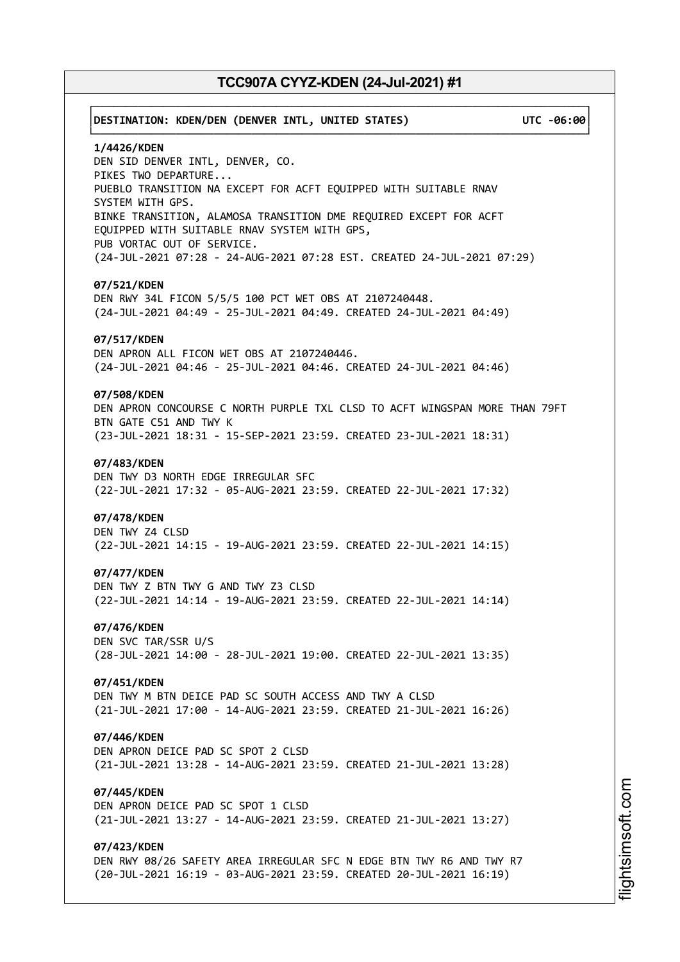# ┌──────────────────────────────────────────────────────────────────────────────┐ │**DESTINATION: KDEN/DEN (DENVER INTL, UNITED STATES) UTC -06:00**│ └──────────────────────────────────────────────────────────────────────────────┘ **1/4426/KDEN** DEN SID DENVER INTL, DENVER, CO. PIKES TWO DEPARTURE... PUEBLO TRANSITION NA EXCEPT FOR ACFT EQUIPPED WITH SUITABLE RNAV SYSTEM WITH GPS. BINKE TRANSITION, ALAMOSA TRANSITION DME REQUIRED EXCEPT FOR ACFT EQUIPPED WITH SUITABLE RNAV SYSTEM WITH GPS, PUB VORTAC OUT OF SERVICE. (24-JUL-2021 07:28 - 24-AUG-2021 07:28 EST. CREATED 24-JUL-2021 07:29) **07/521/KDEN** DEN RWY 34L FICON 5/5/5 100 PCT WET OBS AT 2107240448. (24-JUL-2021 04:49 - 25-JUL-2021 04:49. CREATED 24-JUL-2021 04:49) **07/517/KDEN** DEN APRON ALL FICON WET OBS AT 2107240446. (24-JUL-2021 04:46 - 25-JUL-2021 04:46. CREATED 24-JUL-2021 04:46) **07/508/KDEN** DEN APRON CONCOURSE C NORTH PURPLE TXL CLSD TO ACFT WINGSPAN MORE THAN 79FT BTN GATE C51 AND TWY K (23-JUL-2021 18:31 - 15-SEP-2021 23:59. CREATED 23-JUL-2021 18:31) **07/483/KDEN** DEN TWY D3 NORTH EDGE IRREGULAR SFC (22-JUL-2021 17:32 - 05-AUG-2021 23:59. CREATED 22-JUL-2021 17:32) **07/478/KDEN** DEN TWY Z4 CLSD (22-JUL-2021 14:15 - 19-AUG-2021 23:59. CREATED 22-JUL-2021 14:15) **07/477/KDEN** DEN TWY Z BTN TWY G AND TWY Z3 CLSD (22-JUL-2021 14:14 - 19-AUG-2021 23:59. CREATED 22-JUL-2021 14:14) **07/476/KDEN** DEN SVC TAR/SSR U/S (28-JUL-2021 14:00 - 28-JUL-2021 19:00. CREATED 22-JUL-2021 13:35) **07/451/KDEN** DEN TWY M BTN DEICE PAD SC SOUTH ACCESS AND TWY A CLSD (21-JUL-2021 17:00 - 14-AUG-2021 23:59. CREATED 21-JUL-2021 16:26) **07/446/KDEN** DEN APRON DEICE PAD SC SPOT 2 CLSD (21-JUL-2021 13:28 - 14-AUG-2021 23:59. CREATED 21-JUL-2021 13:28) **07/445/KDEN** DEN APRON DEICE PAD SC SPOT 1 CLSD (21-JUL-2021 13:27 - 14-AUG-2021 23:59. CREATED 21-JUL-2021 13:27) **07/423/KDEN** DEN RWY 08/26 SAFETY AREA IRREGULAR SFC N EDGE BTN TWY R6 AND TWY R7 (20-JUL-2021 16:19 - 03-AUG-2021 23:59. CREATED 20-JUL-2021 16:19)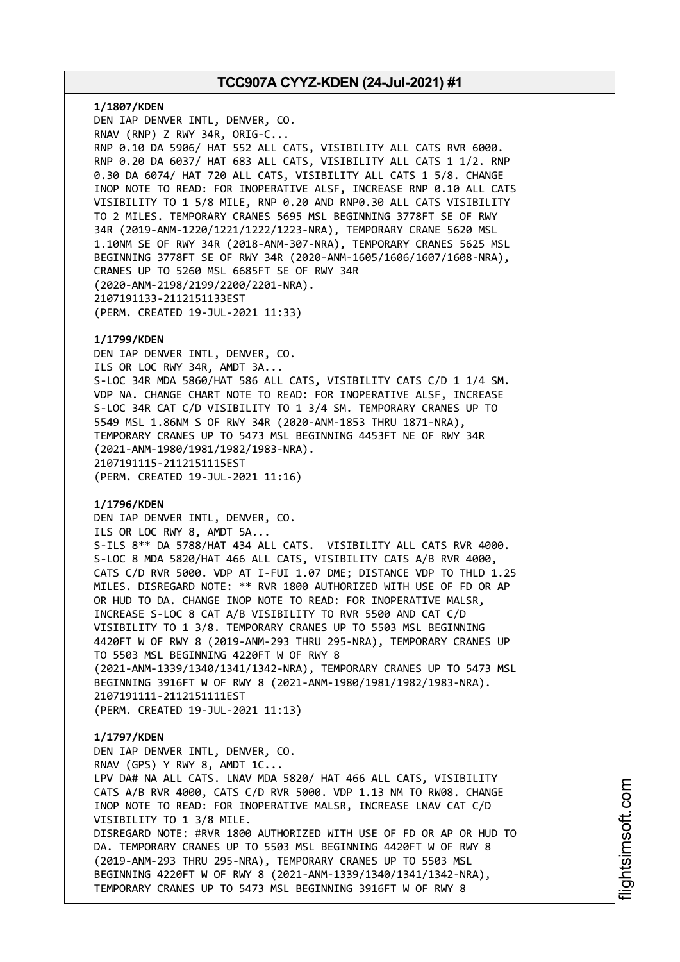**1/1807/KDEN** DEN IAP DENVER INTL, DENVER, CO. RNAV (RNP) Z RWY 34R, ORIG-C... RNP 0.10 DA 5906/ HAT 552 ALL CATS, VISIBILITY ALL CATS RVR 6000. RNP 0.20 DA 6037/ HAT 683 ALL CATS, VISIBILITY ALL CATS 1 1/2. RNP 0.30 DA 6074/ HAT 720 ALL CATS, VISIBILITY ALL CATS 1 5/8. CHANGE INOP NOTE TO READ: FOR INOPERATIVE ALSF, INCREASE RNP 0.10 ALL CATS VISIBILITY TO 1 5/8 MILE, RNP 0.20 AND RNP0.30 ALL CATS VISIBILITY TO 2 MILES. TEMPORARY CRANES 5695 MSL BEGINNING 3778FT SE OF RWY 34R (2019-ANM-1220/1221/1222/1223-NRA), TEMPORARY CRANE 5620 MSL 1.10NM SE OF RWY 34R (2018-ANM-307-NRA), TEMPORARY CRANES 5625 MSL BEGINNING 3778FT SE OF RWY 34R (2020-ANM-1605/1606/1607/1608-NRA), CRANES UP TO 5260 MSL 6685FT SE OF RWY 34R (2020-ANM-2198/2199/2200/2201-NRA). 2107191133-2112151133EST (PERM. CREATED 19-JUL-2021 11:33)

## **1/1799/KDEN**

DEN IAP DENVER INTL, DENVER, CO. ILS OR LOC RWY 34R, AMDT 3A... S-LOC 34R MDA 5860/HAT 586 ALL CATS, VISIBILITY CATS C/D 1 1/4 SM. VDP NA. CHANGE CHART NOTE TO READ: FOR INOPERATIVE ALSF, INCREASE S-LOC 34R CAT C/D VISIBILITY TO 1 3/4 SM. TEMPORARY CRANES UP TO 5549 MSL 1.86NM S OF RWY 34R (2020-ANM-1853 THRU 1871-NRA), TEMPORARY CRANES UP TO 5473 MSL BEGINNING 4453FT NE OF RWY 34R (2021-ANM-1980/1981/1982/1983-NRA). 2107191115-2112151115EST (PERM. CREATED 19-JUL-2021 11:16)

## **1/1796/KDEN**

DEN IAP DENVER INTL, DENVER, CO. ILS OR LOC RWY 8, AMDT 5A... S-ILS 8\*\* DA 5788/HAT 434 ALL CATS. VISIBILITY ALL CATS RVR 4000. S-LOC 8 MDA 5820/HAT 466 ALL CATS, VISIBILITY CATS A/B RVR 4000, CATS C/D RVR 5000. VDP AT I-FUI 1.07 DME; DISTANCE VDP TO THLD 1.25 MILES. DISREGARD NOTE: \*\* RVR 1800 AUTHORIZED WITH USE OF FD OR AP OR HUD TO DA. CHANGE INOP NOTE TO READ: FOR INOPERATIVE MALSR, INCREASE S-LOC 8 CAT A/B VISIBILITY TO RVR 5500 AND CAT C/D VISIBILITY TO 1 3/8. TEMPORARY CRANES UP TO 5503 MSL BEGINNING 4420FT W OF RWY 8 (2019-ANM-293 THRU 295-NRA), TEMPORARY CRANES UP TO 5503 MSL BEGINNING 4220FT W OF RWY 8 (2021-ANM-1339/1340/1341/1342-NRA), TEMPORARY CRANES UP TO 5473 MSL BEGINNING 3916FT W OF RWY 8 (2021-ANM-1980/1981/1982/1983-NRA). 2107191111-2112151111EST (PERM. CREATED 19-JUL-2021 11:13)

## **1/1797/KDEN**

DEN IAP DENVER INTL, DENVER, CO. RNAV (GPS) Y RWY 8, AMDT 1C... LPV DA# NA ALL CATS. LNAV MDA 5820/ HAT 466 ALL CATS, VISIBILITY CATS A/B RVR 4000, CATS C/D RVR 5000. VDP 1.13 NM TO RW08. CHANGE INOP NOTE TO READ: FOR INOPERATIVE MALSR, INCREASE LNAV CAT C/D VISIBILITY TO 1 3/8 MILE. DISREGARD NOTE: #RVR 1800 AUTHORIZED WITH USE OF FD OR AP OR HUD TO DA. TEMPORARY CRANES UP TO 5503 MSL BEGINNING 4420FT W OF RWY 8 (2019-ANM-293 THRU 295-NRA), TEMPORARY CRANES UP TO 5503 MSL BEGINNING 4220FT W OF RWY 8 (2021-ANM-1339/1340/1341/1342-NRA), TEMPORARY CRANES UP TO 5473 MSL BEGINNING 3916FT W OF RWY 8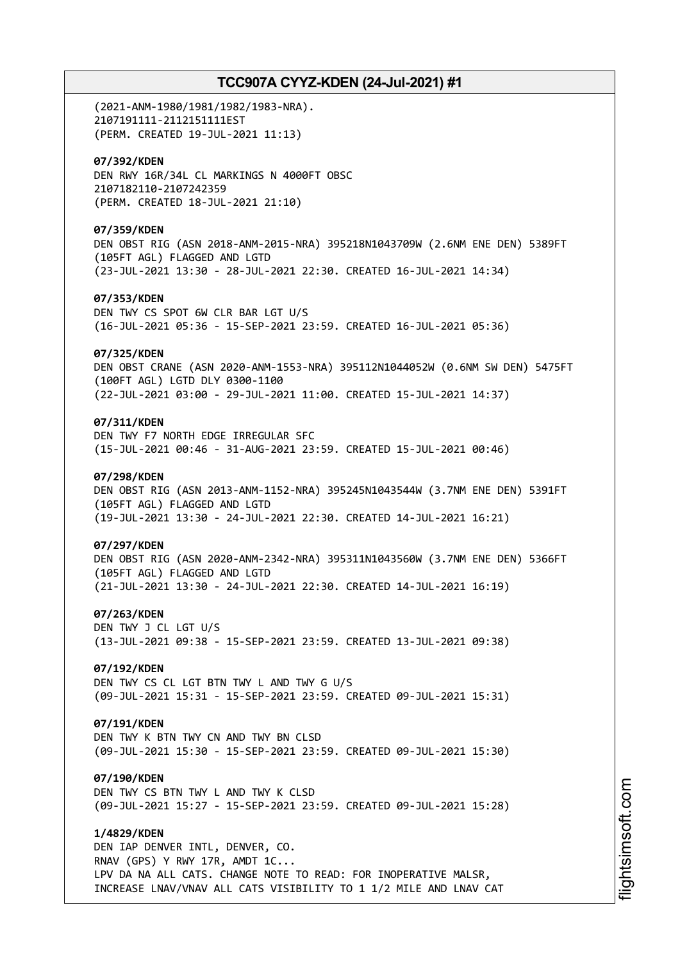(2021-ANM-1980/1981/1982/1983-NRA). 2107191111-2112151111EST (PERM. CREATED 19-JUL-2021 11:13) **07/392/KDEN** DEN RWY 16R/34L CL MARKINGS N 4000FT OBSC 2107182110-2107242359 (PERM. CREATED 18-JUL-2021 21:10) **07/359/KDEN** DEN OBST RIG (ASN 2018-ANM-2015-NRA) 395218N1043709W (2.6NM ENE DEN) 5389FT (105FT AGL) FLAGGED AND LGTD (23-JUL-2021 13:30 - 28-JUL-2021 22:30. CREATED 16-JUL-2021 14:34) **07/353/KDEN** DEN TWY CS SPOT 6W CLR BAR LGT U/S (16-JUL-2021 05:36 - 15-SEP-2021 23:59. CREATED 16-JUL-2021 05:36) **07/325/KDEN** DEN OBST CRANE (ASN 2020-ANM-1553-NRA) 395112N1044052W (0.6NM SW DEN) 5475FT (100FT AGL) LGTD DLY 0300-1100 (22-JUL-2021 03:00 - 29-JUL-2021 11:00. CREATED 15-JUL-2021 14:37) **07/311/KDEN** DEN TWY F7 NORTH EDGE IRREGULAR SFC (15-JUL-2021 00:46 - 31-AUG-2021 23:59. CREATED 15-JUL-2021 00:46) **07/298/KDEN** DEN OBST RIG (ASN 2013-ANM-1152-NRA) 395245N1043544W (3.7NM ENE DEN) 5391FT (105FT AGL) FLAGGED AND LGTD (19-JUL-2021 13:30 - 24-JUL-2021 22:30. CREATED 14-JUL-2021 16:21) **07/297/KDEN** DEN OBST RIG (ASN 2020-ANM-2342-NRA) 395311N1043560W (3.7NM ENE DEN) 5366FT (105FT AGL) FLAGGED AND LGTD (21-JUL-2021 13:30 - 24-JUL-2021 22:30. CREATED 14-JUL-2021 16:19) **07/263/KDEN** DEN TWY J CL LGT U/S (13-JUL-2021 09:38 - 15-SEP-2021 23:59. CREATED 13-JUL-2021 09:38) **07/192/KDEN** DEN TWY CS CL LGT BTN TWY L AND TWY G U/S (09-JUL-2021 15:31 - 15-SEP-2021 23:59. CREATED 09-JUL-2021 15:31) **07/191/KDEN** DEN TWY K BTN TWY CN AND TWY BN CLSD (09-JUL-2021 15:30 - 15-SEP-2021 23:59. CREATED 09-JUL-2021 15:30) **07/190/KDEN** DEN TWY CS BTN TWY L AND TWY K CLSD (09-JUL-2021 15:27 - 15-SEP-2021 23:59. CREATED 09-JUL-2021 15:28) **1/4829/KDEN** DEN IAP DENVER INTL, DENVER, CO. RNAV (GPS) Y RWY 17R, AMDT 1C... LPV DA NA ALL CATS. CHANGE NOTE TO READ: FOR INOPERATIVE MALSR, INCREASE LNAV/VNAV ALL CATS VISIBILITY TO 1 1/2 MILE AND LNAV CAT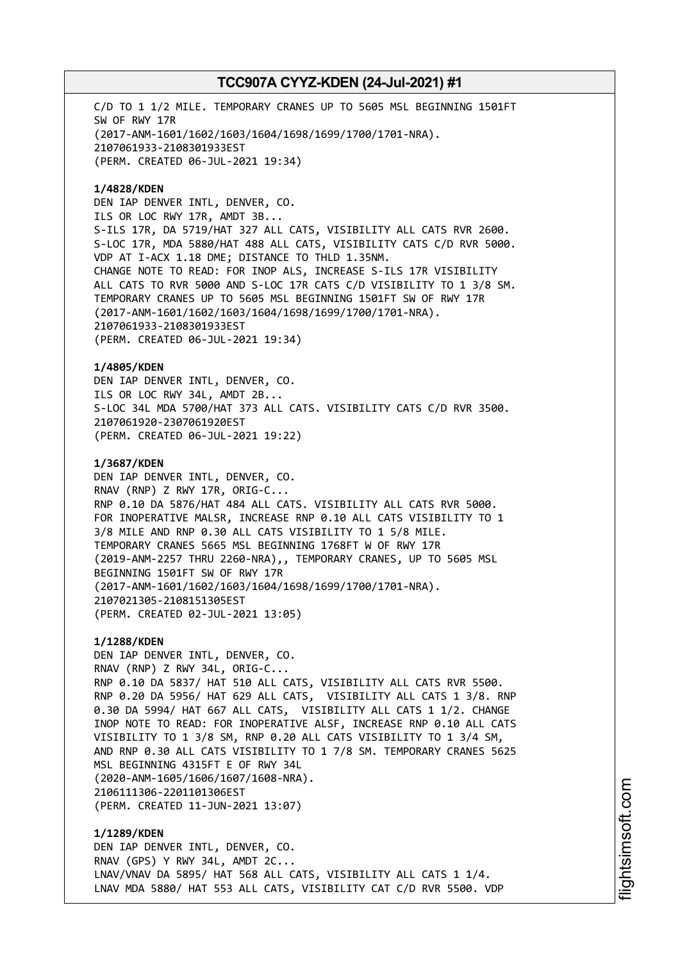C/D TO 1 1/2 MILE. TEMPORARY CRANES UP TO 5605 MSL BEGINNING 1501FT SW OF RWY 17R (2017-ANM-1601/1602/1603/1604/1698/1699/1700/1701-NRA). 2107061933-2108301933EST (PERM. CREATED 06-JUL-2021 19:34)

**1/4828/KDEN** DEN IAP DENVER INTL, DENVER, CO. ILS OR LOC RWY 17R, AMDT 3B... S-ILS 17R, DA 5719/HAT 327 ALL CATS, VISIBILITY ALL CATS RVR 2600. S-LOC 17R, MDA 5880/HAT 488 ALL CATS, VISIBILITY CATS C/D RVR 5000. VDP AT I-ACX 1.18 DME; DISTANCE TO THLD 1.35NM. CHANGE NOTE TO READ: FOR INOP ALS, INCREASE S-ILS 17R VISIBILITY ALL CATS TO RVR 5000 AND S-LOC 17R CATS C/D VISIBILITY TO 1 3/8 SM. TEMPORARY CRANES UP TO 5605 MSL BEGINNING 1501FT SW OF RWY 17R (2017-ANM-1601/1602/1603/1604/1698/1699/1700/1701-NRA). 2107061933-2108301933EST (PERM. CREATED 06-JUL-2021 19:34)

**1/4805/KDEN** DEN IAP DENVER INTL, DENVER, CO. ILS OR LOC RWY 34L, AMDT 2B... S-LOC 34L MDA 5700/HAT 373 ALL CATS. VISIBILITY CATS C/D RVR 3500. 2107061920-2307061920EST (PERM. CREATED 06-JUL-2021 19:22)

**1/3687/KDEN** DEN IAP DENVER INTL, DENVER, CO. RNAV (RNP) Z RWY 17R, ORIG-C... RNP 0.10 DA 5876/HAT 484 ALL CATS. VISIBILITY ALL CATS RVR 5000. FOR INOPERATIVE MALSR, INCREASE RNP 0.10 ALL CATS VISIBILITY TO 1 3/8 MILE AND RNP 0.30 ALL CATS VISIBILITY TO 1 5/8 MILE. TEMPORARY CRANES 5665 MSL BEGINNING 1768FT W OF RWY 17R (2019-ANM-2257 THRU 2260-NRA),, TEMPORARY CRANES, UP TO 5605 MSL BEGINNING 1501FT SW OF RWY 17R (2017-ANM-1601/1602/1603/1604/1698/1699/1700/1701-NRA). 2107021305-2108151305EST (PERM. CREATED 02-JUL-2021 13:05)

**1/1288/KDEN** DEN IAP DENVER INTL, DENVER, CO. RNAV (RNP) Z RWY 34L, ORIG-C... RNP 0.10 DA 5837/ HAT 510 ALL CATS, VISIBILITY ALL CATS RVR 5500. RNP 0.20 DA 5956/ HAT 629 ALL CATS, VISIBILITY ALL CATS 1 3/8. RNP 0.30 DA 5994/ HAT 667 ALL CATS, VISIBILITY ALL CATS 1 1/2. CHANGE INOP NOTE TO READ: FOR INOPERATIVE ALSF, INCREASE RNP 0.10 ALL CATS VISIBILITY TO 1 3/8 SM, RNP 0.20 ALL CATS VISIBILITY TO 1 3/4 SM, AND RNP 0.30 ALL CATS VISIBILITY TO 1 7/8 SM. TEMPORARY CRANES 5625 MSL BEGINNING 4315FT E OF RWY 34L (2020-ANM-1605/1606/1607/1608-NRA). 2106111306-2201101306EST (PERM. CREATED 11-JUN-2021 13:07)

**1/1289/KDEN** DEN IAP DENVER INTL, DENVER, CO. RNAV (GPS) Y RWY 34L, AMDT 2C... LNAV/VNAV DA 5895/ HAT 568 ALL CATS, VISIBILITY ALL CATS 1 1/4. LNAV MDA 5880/ HAT 553 ALL CATS, VISIBILITY CAT C/D RVR 5500. VDP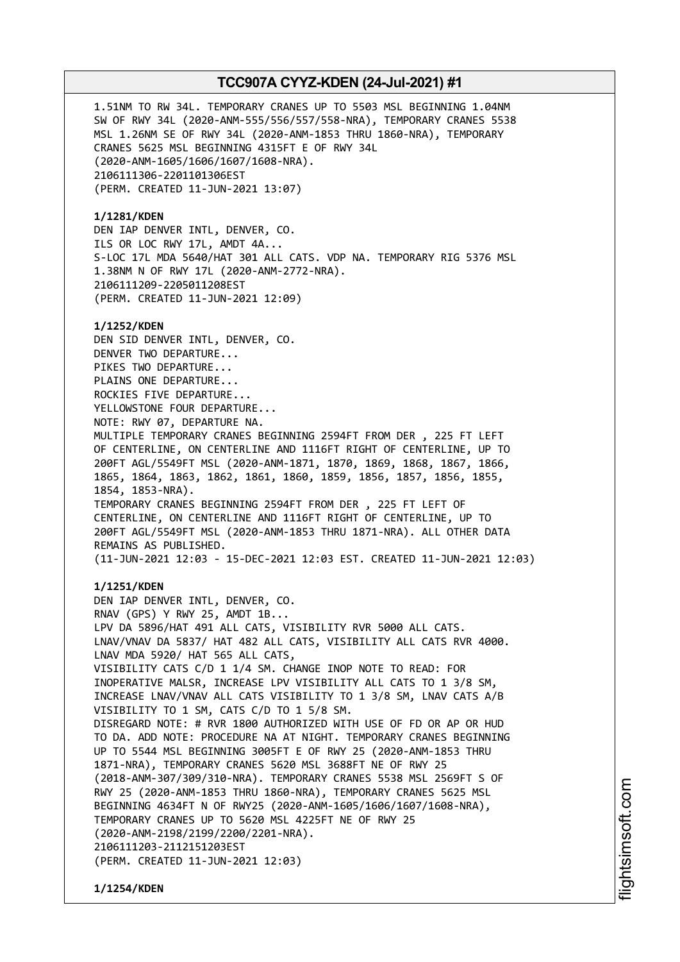1.51NM TO RW 34L. TEMPORARY CRANES UP TO 5503 MSL BEGINNING 1.04NM SW OF RWY 34L (2020-ANM-555/556/557/558-NRA), TEMPORARY CRANES 5538 MSL 1.26NM SE OF RWY 34L (2020-ANM-1853 THRU 1860-NRA), TEMPORARY CRANES 5625 MSL BEGINNING 4315FT E OF RWY 34L (2020-ANM-1605/1606/1607/1608-NRA). 2106111306-2201101306EST (PERM. CREATED 11-JUN-2021 13:07) **1/1281/KDEN** DEN IAP DENVER INTL, DENVER, CO. ILS OR LOC RWY 17L, AMDT 4A... S-LOC 17L MDA 5640/HAT 301 ALL CATS. VDP NA. TEMPORARY RIG 5376 MSL 1.38NM N OF RWY 17L (2020-ANM-2772-NRA). 2106111209-2205011208EST (PERM. CREATED 11-JUN-2021 12:09) **1/1252/KDEN** DEN SID DENVER INTL, DENVER, CO. DENVER TWO DEPARTURE... PIKES TWO DEPARTURE... PLAINS ONE DEPARTURE... ROCKIES FIVE DEPARTURE... YELLOWSTONE FOUR DEPARTURE... NOTE: RWY 07, DEPARTURE NA. MULTIPLE TEMPORARY CRANES BEGINNING 2594FT FROM DER , 225 FT LEFT OF CENTERLINE, ON CENTERLINE AND 1116FT RIGHT OF CENTERLINE, UP TO 200FT AGL/5549FT MSL (2020-ANM-1871, 1870, 1869, 1868, 1867, 1866, 1865, 1864, 1863, 1862, 1861, 1860, 1859, 1856, 1857, 1856, 1855, 1854, 1853-NRA). TEMPORARY CRANES BEGINNING 2594FT FROM DER , 225 FT LEFT OF CENTERLINE, ON CENTERLINE AND 1116FT RIGHT OF CENTERLINE, UP TO 200FT AGL/5549FT MSL (2020-ANM-1853 THRU 1871-NRA). ALL OTHER DATA REMAINS AS PUBLISHED. (11-JUN-2021 12:03 - 15-DEC-2021 12:03 EST. CREATED 11-JUN-2021 12:03) **1/1251/KDEN** DEN IAP DENVER INTL, DENVER, CO. RNAV (GPS) Y RWY 25, AMDT 1B... LPV DA 5896/HAT 491 ALL CATS, VISIBILITY RVR 5000 ALL CATS. LNAV/VNAV DA 5837/ HAT 482 ALL CATS, VISIBILITY ALL CATS RVR 4000. LNAV MDA 5920/ HAT 565 ALL CATS, VISIBILITY CATS C/D 1 1/4 SM. CHANGE INOP NOTE TO READ: FOR INOPERATIVE MALSR, INCREASE LPV VISIBILITY ALL CATS TO 1 3/8 SM, INCREASE LNAV/VNAV ALL CATS VISIBILITY TO 1 3/8 SM, LNAV CATS A/B VISIBILITY TO 1 SM, CATS C/D TO 1 5/8 SM. DISREGARD NOTE: # RVR 1800 AUTHORIZED WITH USE OF FD OR AP OR HUD TO DA. ADD NOTE: PROCEDURE NA AT NIGHT. TEMPORARY CRANES BEGINNING UP TO 5544 MSL BEGINNING 3005FT E OF RWY 25 (2020-ANM-1853 THRU 1871-NRA), TEMPORARY CRANES 5620 MSL 3688FT NE OF RWY 25 (2018-ANM-307/309/310-NRA). TEMPORARY CRANES 5538 MSL 2569FT S OF RWY 25 (2020-ANM-1853 THRU 1860-NRA), TEMPORARY CRANES 5625 MSL BEGINNING 4634FT N OF RWY25 (2020-ANM-1605/1606/1607/1608-NRA), TEMPORARY CRANES UP TO 5620 MSL 4225FT NE OF RWY 25

i⊒<br>⊫ htsim soft.c o

m

**1/1254/KDEN**

(2020-ANM-2198/2199/2200/2201-NRA).

(PERM. CREATED 11-JUN-2021 12:03)

2106111203-2112151203EST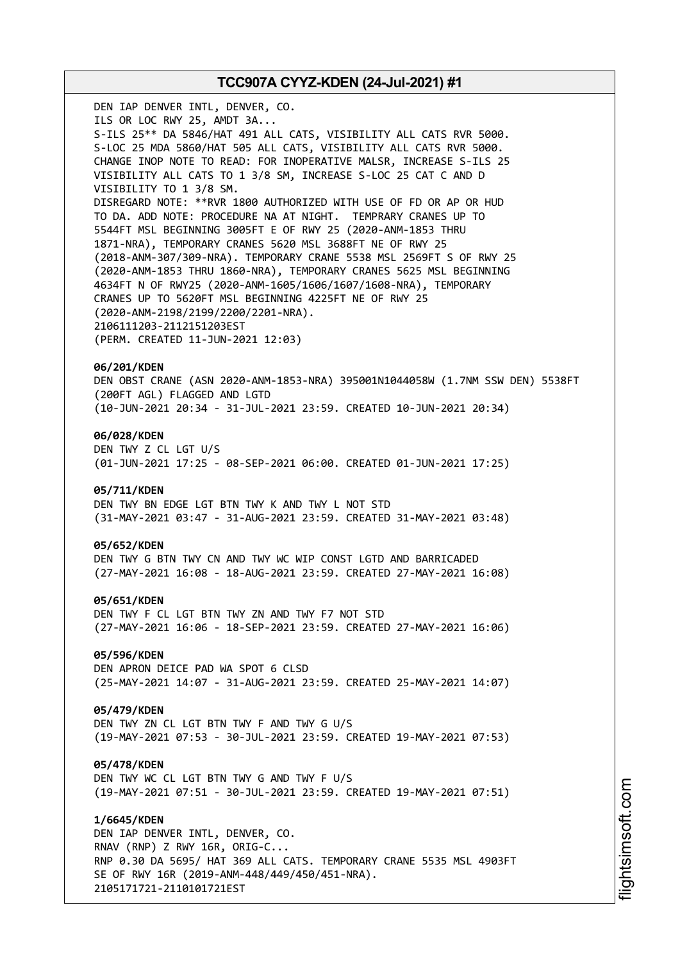DEN IAP DENVER INTL, DENVER, CO. ILS OR LOC RWY 25, AMDT 3A... S-ILS 25\*\* DA 5846/HAT 491 ALL CATS, VISIBILITY ALL CATS RVR 5000. S-LOC 25 MDA 5860/HAT 505 ALL CATS, VISIBILITY ALL CATS RVR 5000. CHANGE INOP NOTE TO READ: FOR INOPERATIVE MALSR, INCREASE S-ILS 25 VISIBILITY ALL CATS TO 1 3/8 SM, INCREASE S-LOC 25 CAT C AND D VISIBILITY TO 1 3/8 SM. DISREGARD NOTE: \*\*RVR 1800 AUTHORIZED WITH USE OF FD OR AP OR HUD TO DA. ADD NOTE: PROCEDURE NA AT NIGHT. TEMPRARY CRANES UP TO 5544FT MSL BEGINNING 3005FT E OF RWY 25 (2020-ANM-1853 THRU 1871-NRA), TEMPORARY CRANES 5620 MSL 3688FT NE OF RWY 25 (2018-ANM-307/309-NRA). TEMPORARY CRANE 5538 MSL 2569FT S OF RWY 25 (2020-ANM-1853 THRU 1860-NRA), TEMPORARY CRANES 5625 MSL BEGINNING 4634FT N OF RWY25 (2020-ANM-1605/1606/1607/1608-NRA), TEMPORARY CRANES UP TO 5620FT MSL BEGINNING 4225FT NE OF RWY 25 (2020-ANM-2198/2199/2200/2201-NRA). 2106111203-2112151203EST (PERM. CREATED 11-JUN-2021 12:03) **06/201/KDEN** DEN OBST CRANE (ASN 2020-ANM-1853-NRA) 395001N1044058W (1.7NM SSW DEN) 5538FT (200FT AGL) FLAGGED AND LGTD (10-JUN-2021 20:34 - 31-JUL-2021 23:59. CREATED 10-JUN-2021 20:34) **06/028/KDEN** DEN TWY Z CL LGT U/S (01-JUN-2021 17:25 - 08-SEP-2021 06:00. CREATED 01-JUN-2021 17:25) **05/711/KDEN** DEN TWY BN EDGE LGT BTN TWY K AND TWY L NOT STD (31-MAY-2021 03:47 - 31-AUG-2021 23:59. CREATED 31-MAY-2021 03:48) **05/652/KDEN** DEN TWY G BTN TWY CN AND TWY WC WIP CONST LGTD AND BARRICADED (27-MAY-2021 16:08 - 18-AUG-2021 23:59. CREATED 27-MAY-2021 16:08) **05/651/KDEN** DEN TWY F CL LGT BTN TWY ZN AND TWY F7 NOT STD (27-MAY-2021 16:06 - 18-SEP-2021 23:59. CREATED 27-MAY-2021 16:06) **05/596/KDEN** DEN APRON DEICE PAD WA SPOT 6 CLSD (25-MAY-2021 14:07 - 31-AUG-2021 23:59. CREATED 25-MAY-2021 14:07) **05/479/KDEN** DEN TWY ZN CL LGT BTN TWY F AND TWY G U/S (19-MAY-2021 07:53 - 30-JUL-2021 23:59. CREATED 19-MAY-2021 07:53) **05/478/KDEN** DEN TWY WC CL LGT BTN TWY G AND TWY F U/S (19-MAY-2021 07:51 - 30-JUL-2021 23:59. CREATED 19-MAY-2021 07:51) **1/6645/KDEN**

DEN IAP DENVER INTL, DENVER, CO. RNAV (RNP) Z RWY 16R, ORIG-C... RNP 0.30 DA 5695/ HAT 369 ALL CATS. TEMPORARY CRANE 5535 MSL 4903FT SE OF RWY 16R (2019-ANM-448/449/450/451-NRA). 2105171721-2110101721EST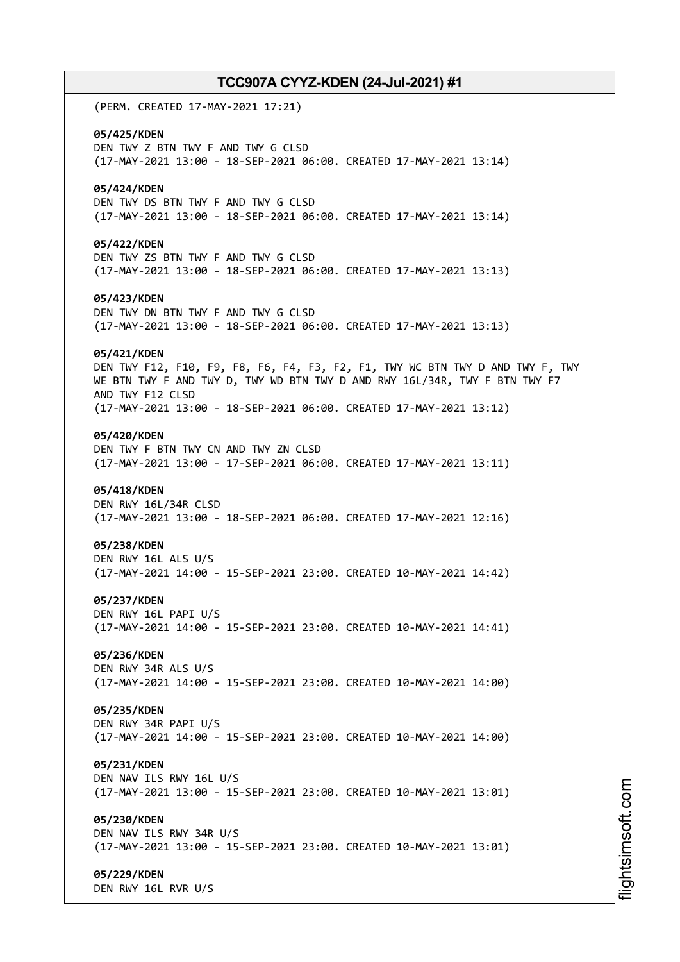(PERM. CREATED 17-MAY-2021 17:21) **05/425/KDEN** DEN TWY Z BTN TWY F AND TWY G CLSD (17-MAY-2021 13:00 - 18-SEP-2021 06:00. CREATED 17-MAY-2021 13:14) **05/424/KDEN** DEN TWY DS BTN TWY F AND TWY G CLSD (17-MAY-2021 13:00 - 18-SEP-2021 06:00. CREATED 17-MAY-2021 13:14) **05/422/KDEN** DEN TWY ZS BTN TWY F AND TWY G CLSD (17-MAY-2021 13:00 - 18-SEP-2021 06:00. CREATED 17-MAY-2021 13:13) **05/423/KDEN** DEN TWY DN BTN TWY F AND TWY G CLSD (17-MAY-2021 13:00 - 18-SEP-2021 06:00. CREATED 17-MAY-2021 13:13) **05/421/KDEN** DEN TWY F12, F10, F9, F8, F6, F4, F3, F2, F1, TWY WC BTN TWY D AND TWY F, TWY WE BTN TWY F AND TWY D, TWY WD BTN TWY D AND RWY 16L/34R, TWY F BTN TWY F7 AND TWY F12 CLSD (17-MAY-2021 13:00 - 18-SEP-2021 06:00. CREATED 17-MAY-2021 13:12) **05/420/KDEN** DEN TWY F BTN TWY CN AND TWY ZN CLSD (17-MAY-2021 13:00 - 17-SEP-2021 06:00. CREATED 17-MAY-2021 13:11) **05/418/KDEN** DEN RWY 16L/34R CLSD (17-MAY-2021 13:00 - 18-SEP-2021 06:00. CREATED 17-MAY-2021 12:16) **05/238/KDEN** DEN RWY 16L ALS U/S (17-MAY-2021 14:00 - 15-SEP-2021 23:00. CREATED 10-MAY-2021 14:42) **05/237/KDEN** DEN RWY 16L PAPI U/S (17-MAY-2021 14:00 - 15-SEP-2021 23:00. CREATED 10-MAY-2021 14:41) **05/236/KDEN** DEN RWY 34R ALS U/S (17-MAY-2021 14:00 - 15-SEP-2021 23:00. CREATED 10-MAY-2021 14:00) **05/235/KDEN** DEN RWY 34R PAPI U/S (17-MAY-2021 14:00 - 15-SEP-2021 23:00. CREATED 10-MAY-2021 14:00) **05/231/KDEN** DEN NAV ILS RWY 16L U/S (17-MAY-2021 13:00 - 15-SEP-2021 23:00. CREATED 10-MAY-2021 13:01) **05/230/KDEN** DEN NAV ILS RWY 34R U/S (17-MAY-2021 13:00 - 15-SEP-2021 23:00. CREATED 10-MAY-2021 13:01) **05/229/KDEN** DEN RWY 16L RVR U/S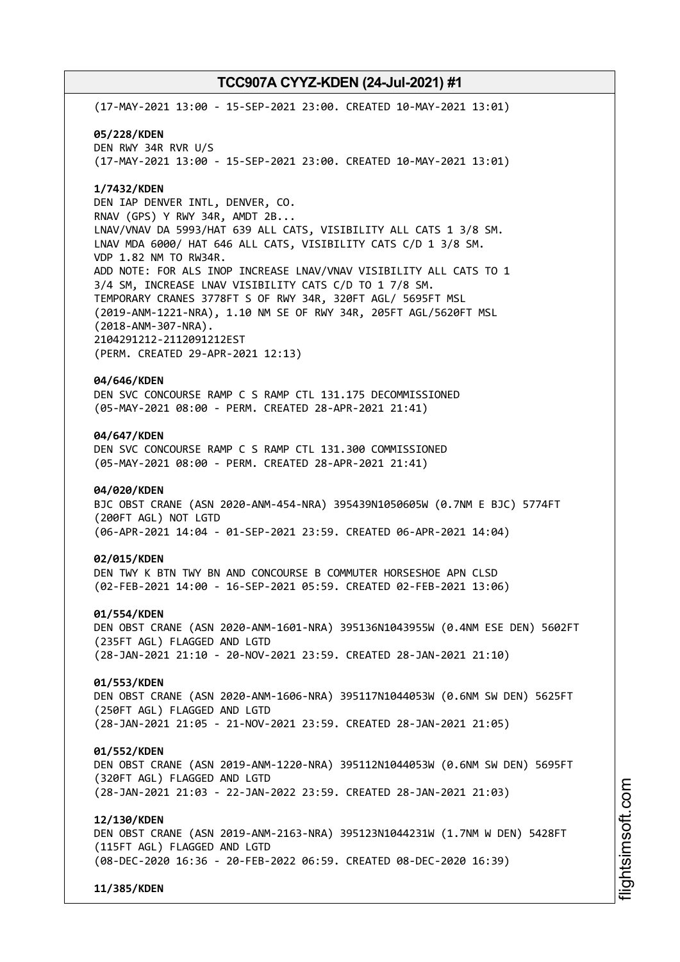(17-MAY-2021 13:00 - 15-SEP-2021 23:00. CREATED 10-MAY-2021 13:01) **05/228/KDEN** DEN RWY 34R RVR U/S (17-MAY-2021 13:00 - 15-SEP-2021 23:00. CREATED 10-MAY-2021 13:01) **1/7432/KDEN** DEN IAP DENVER INTL, DENVER, CO. RNAV (GPS) Y RWY 34R, AMDT 2B... LNAV/VNAV DA 5993/HAT 639 ALL CATS, VISIBILITY ALL CATS 1 3/8 SM. LNAV MDA 6000/ HAT 646 ALL CATS, VISIBILITY CATS C/D 1 3/8 SM. VDP 1.82 NM TO RW34R. ADD NOTE: FOR ALS INOP INCREASE LNAV/VNAV VISIBILITY ALL CATS TO 1 3/4 SM, INCREASE LNAV VISIBILITY CATS C/D TO 1 7/8 SM. TEMPORARY CRANES 3778FT S OF RWY 34R, 320FT AGL/ 5695FT MSL (2019-ANM-1221-NRA), 1.10 NM SE OF RWY 34R, 205FT AGL/5620FT MSL (2018-ANM-307-NRA). 2104291212-2112091212EST (PERM. CREATED 29-APR-2021 12:13) **04/646/KDEN** DEN SVC CONCOURSE RAMP C S RAMP CTL 131.175 DECOMMISSIONED (05-MAY-2021 08:00 - PERM. CREATED 28-APR-2021 21:41) **04/647/KDEN** DEN SVC CONCOURSE RAMP C S RAMP CTL 131.300 COMMISSIONED (05-MAY-2021 08:00 - PERM. CREATED 28-APR-2021 21:41) **04/020/KDEN** BJC OBST CRANE (ASN 2020-ANM-454-NRA) 395439N1050605W (0.7NM E BJC) 5774FT (200FT AGL) NOT LGTD (06-APR-2021 14:04 - 01-SEP-2021 23:59. CREATED 06-APR-2021 14:04) **02/015/KDEN** DEN TWY K BTN TWY BN AND CONCOURSE B COMMUTER HORSESHOE APN CLSD (02-FEB-2021 14:00 - 16-SEP-2021 05:59. CREATED 02-FEB-2021 13:06) **01/554/KDEN** DEN OBST CRANE (ASN 2020-ANM-1601-NRA) 395136N1043955W (0.4NM ESE DEN) 5602FT (235FT AGL) FLAGGED AND LGTD (28-JAN-2021 21:10 - 20-NOV-2021 23:59. CREATED 28-JAN-2021 21:10) **01/553/KDEN** DEN OBST CRANE (ASN 2020-ANM-1606-NRA) 395117N1044053W (0.6NM SW DEN) 5625FT (250FT AGL) FLAGGED AND LGTD (28-JAN-2021 21:05 - 21-NOV-2021 23:59. CREATED 28-JAN-2021 21:05) **01/552/KDEN** DEN OBST CRANE (ASN 2019-ANM-1220-NRA) 395112N1044053W (0.6NM SW DEN) 5695FT (320FT AGL) FLAGGED AND LGTD (28-JAN-2021 21:03 - 22-JAN-2022 23:59. CREATED 28-JAN-2021 21:03) **12/130/KDEN** DEN OBST CRANE (ASN 2019-ANM-2163-NRA) 395123N1044231W (1.7NM W DEN) 5428FT (115FT AGL) FLAGGED AND LGTD (08-DEC-2020 16:36 - 20-FEB-2022 06:59. CREATED 08-DEC-2020 16:39) **11/385/KDEN**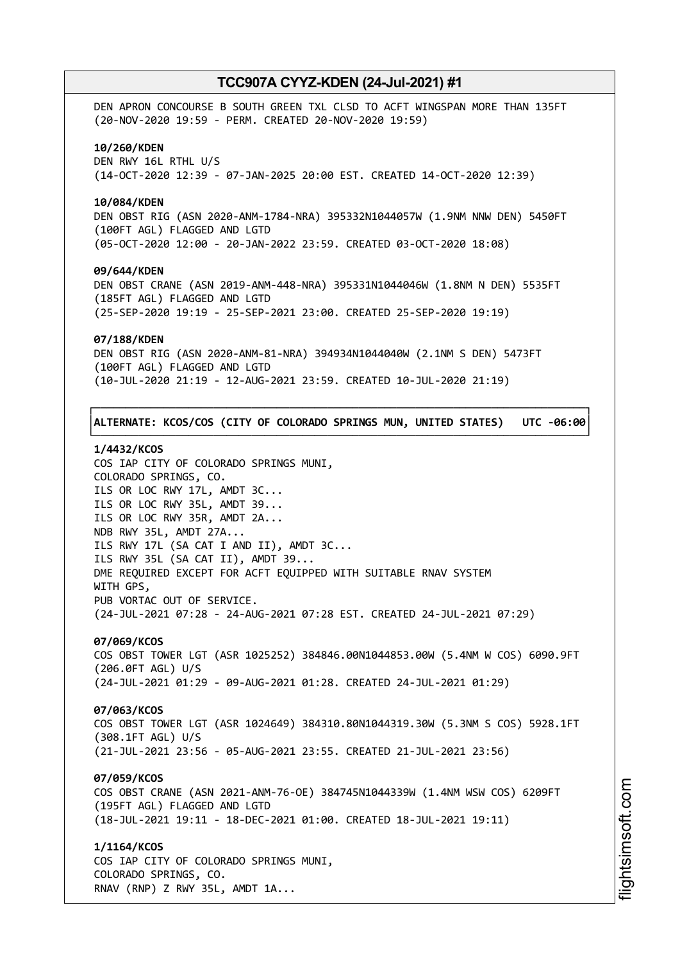DEN APRON CONCOURSE B SOUTH GREEN TXL CLSD TO ACFT WINGSPAN MORE THAN 135FT (20-NOV-2020 19:59 - PERM. CREATED 20-NOV-2020 19:59) **10/260/KDEN** DEN RWY 16L RTHL U/S (14-OCT-2020 12:39 - 07-JAN-2025 20:00 EST. CREATED 14-OCT-2020 12:39) **10/084/KDEN** DEN OBST RIG (ASN 2020-ANM-1784-NRA) 395332N1044057W (1.9NM NNW DEN) 5450FT (100FT AGL) FLAGGED AND LGTD (05-OCT-2020 12:00 - 20-JAN-2022 23:59. CREATED 03-OCT-2020 18:08) **09/644/KDEN** DEN OBST CRANE (ASN 2019-ANM-448-NRA) 395331N1044046W (1.8NM N DEN) 5535FT (185FT AGL) FLAGGED AND LGTD (25-SEP-2020 19:19 - 25-SEP-2021 23:00. CREATED 25-SEP-2020 19:19) **07/188/KDEN** DEN OBST RIG (ASN 2020-ANM-81-NRA) 394934N1044040W (2.1NM S DEN) 5473FT (100FT AGL) FLAGGED AND LGTD (10-JUL-2020 21:19 - 12-AUG-2021 23:59. CREATED 10-JUL-2020 21:19) ┌──────────────────────────────────────────────────────────────────────────────┐ │**ALTERNATE: KCOS/COS (CITY OF COLORADO SPRINGS MUN, UNITED STATES) UTC -06:00**│

### **1/4432/KCOS**

COS IAP CITY OF COLORADO SPRINGS MUNI, COLORADO SPRINGS, CO. ILS OR LOC RWY 17L, AMDT 3C... ILS OR LOC RWY 35L, AMDT 39... ILS OR LOC RWY 35R, AMDT 2A... NDB RWY 35L, AMDT 27A... ILS RWY 17L (SA CAT I AND II), AMDT 3C... ILS RWY 35L (SA CAT II), AMDT 39... DME REQUIRED EXCEPT FOR ACFT EQUIPPED WITH SUITABLE RNAV SYSTEM WITH GPS, PUB VORTAC OUT OF SERVICE. (24-JUL-2021 07:28 - 24-AUG-2021 07:28 EST. CREATED 24-JUL-2021 07:29)

└──────────────────────────────────────────────────────────────────────────────┘

# **07/069/KCOS**

COS OBST TOWER LGT (ASR 1025252) 384846.00N1044853.00W (5.4NM W COS) 6090.9FT (206.0FT AGL) U/S (24-JUL-2021 01:29 - 09-AUG-2021 01:28. CREATED 24-JUL-2021 01:29)

## **07/063/KCOS**

COS OBST TOWER LGT (ASR 1024649) 384310.80N1044319.30W (5.3NM S COS) 5928.1FT (308.1FT AGL) U/S (21-JUL-2021 23:56 - 05-AUG-2021 23:55. CREATED 21-JUL-2021 23:56)

## **07/059/KCOS**

COS OBST CRANE (ASN 2021-ANM-76-OE) 384745N1044339W (1.4NM WSW COS) 6209FT (195FT AGL) FLAGGED AND LGTD (18-JUL-2021 19:11 - 18-DEC-2021 01:00. CREATED 18-JUL-2021 19:11)

# **1/1164/KCOS**

COS IAP CITY OF COLORADO SPRINGS MUNI, COLORADO SPRINGS, CO. RNAV (RNP) Z RWY 35L, AMDT 1A...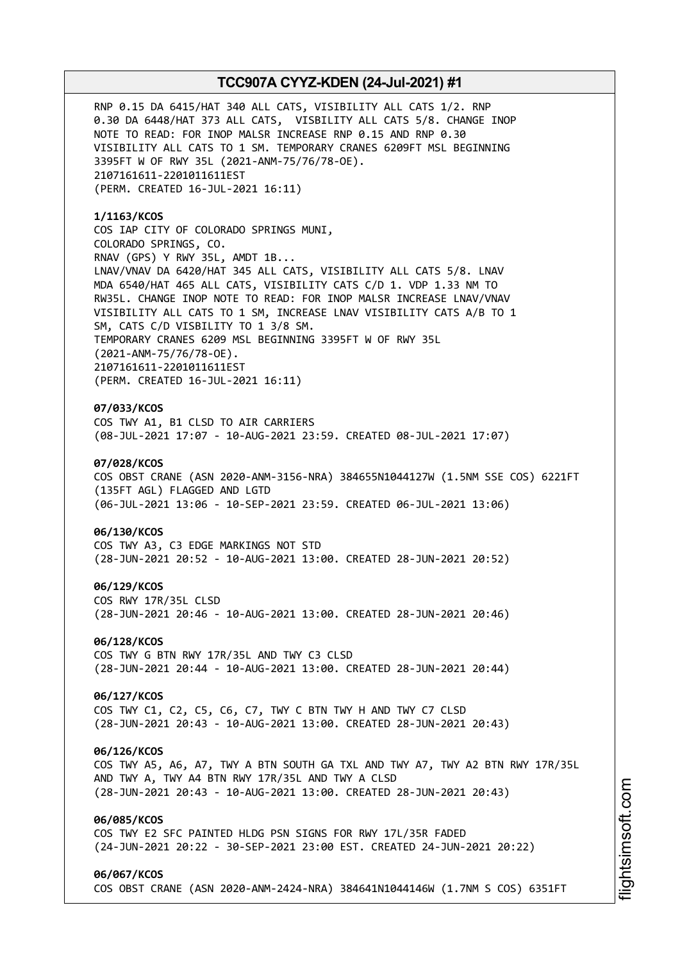RNP 0.15 DA 6415/HAT 340 ALL CATS, VISIBILITY ALL CATS 1/2. RNP 0.30 DA 6448/HAT 373 ALL CATS, VISBILITY ALL CATS 5/8. CHANGE INOP NOTE TO READ: FOR INOP MALSR INCREASE RNP 0.15 AND RNP 0.30 VISIBILITY ALL CATS TO 1 SM. TEMPORARY CRANES 6209FT MSL BEGINNING 3395FT W OF RWY 35L (2021-ANM-75/76/78-OE). 2107161611-2201011611EST (PERM. CREATED 16-JUL-2021 16:11)

**1/1163/KCOS** COS IAP CITY OF COLORADO SPRINGS MUNI, COLORADO SPRINGS, CO. RNAV (GPS) Y RWY 35L, AMDT 1B... LNAV/VNAV DA 6420/HAT 345 ALL CATS, VISIBILITY ALL CATS 5/8. LNAV MDA 6540/HAT 465 ALL CATS, VISIBILITY CATS C/D 1. VDP 1.33 NM TO RW35L. CHANGE INOP NOTE TO READ: FOR INOP MALSR INCREASE LNAV/VNAV VISIBILITY ALL CATS TO 1 SM, INCREASE LNAV VISIBILITY CATS A/B TO 1 SM, CATS C/D VISBILITY TO 1 3/8 SM. TEMPORARY CRANES 6209 MSL BEGINNING 3395FT W OF RWY 35L (2021-ANM-75/76/78-OE). 2107161611-2201011611EST (PERM. CREATED 16-JUL-2021 16:11)

## **07/033/KCOS**

COS TWY A1, B1 CLSD TO AIR CARRIERS (08-JUL-2021 17:07 - 10-AUG-2021 23:59. CREATED 08-JUL-2021 17:07)

# **07/028/KCOS**

COS OBST CRANE (ASN 2020-ANM-3156-NRA) 384655N1044127W (1.5NM SSE COS) 6221FT (135FT AGL) FLAGGED AND LGTD (06-JUL-2021 13:06 - 10-SEP-2021 23:59. CREATED 06-JUL-2021 13:06)

### **06/130/KCOS**

COS TWY A3, C3 EDGE MARKINGS NOT STD (28-JUN-2021 20:52 - 10-AUG-2021 13:00. CREATED 28-JUN-2021 20:52)

#### **06/129/KCOS**

COS RWY 17R/35L CLSD (28-JUN-2021 20:46 - 10-AUG-2021 13:00. CREATED 28-JUN-2021 20:46)

## **06/128/KCOS**

COS TWY G BTN RWY 17R/35L AND TWY C3 CLSD (28-JUN-2021 20:44 - 10-AUG-2021 13:00. CREATED 28-JUN-2021 20:44)

# **06/127/KCOS**

COS TWY C1, C2, C5, C6, C7, TWY C BTN TWY H AND TWY C7 CLSD (28-JUN-2021 20:43 - 10-AUG-2021 13:00. CREATED 28-JUN-2021 20:43)

### **06/126/KCOS**

COS TWY A5, A6, A7, TWY A BTN SOUTH GA TXL AND TWY A7, TWY A2 BTN RWY 17R/35L AND TWY A, TWY A4 BTN RWY 17R/35L AND TWY A CLSD (28-JUN-2021 20:43 - 10-AUG-2021 13:00. CREATED 28-JUN-2021 20:43)

## **06/085/KCOS**

COS TWY E2 SFC PAINTED HLDG PSN SIGNS FOR RWY 17L/35R FADED (24-JUN-2021 20:22 - 30-SEP-2021 23:00 EST. CREATED 24-JUN-2021 20:22)

#### **06/067/KCOS**

COS OBST CRANE (ASN 2020-ANM-2424-NRA) 384641N1044146W (1.7NM S COS) 6351FT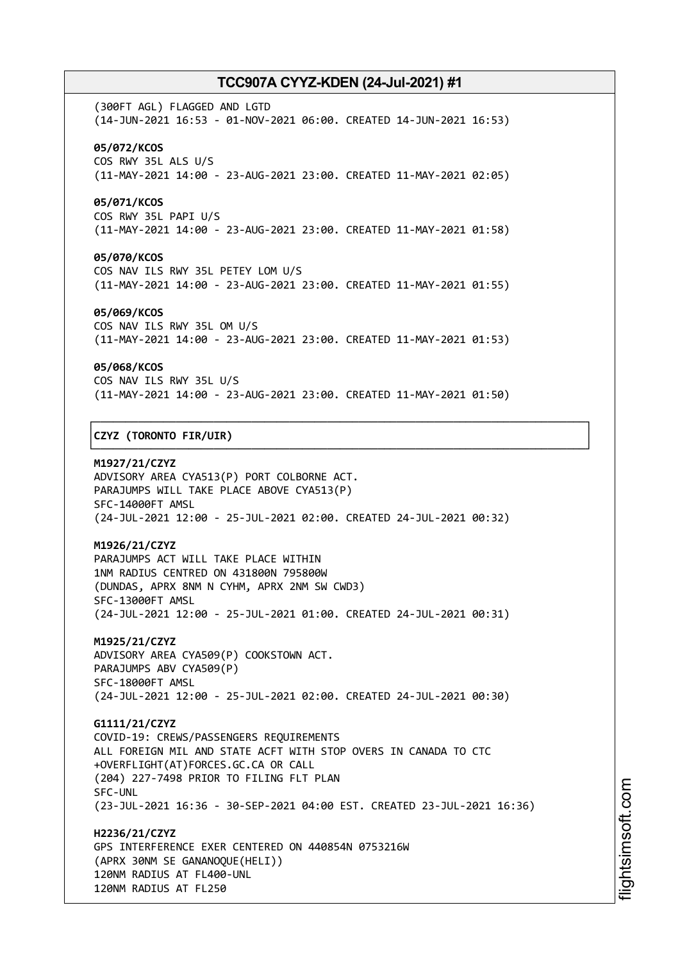(300FT AGL) FLAGGED AND LGTD (14-JUN-2021 16:53 - 01-NOV-2021 06:00. CREATED 14-JUN-2021 16:53) **05/072/KCOS** COS RWY 35L ALS U/S (11-MAY-2021 14:00 - 23-AUG-2021 23:00. CREATED 11-MAY-2021 02:05)

# **05/071/KCOS**

COS RWY 35L PAPI U/S (11-MAY-2021 14:00 - 23-AUG-2021 23:00. CREATED 11-MAY-2021 01:58)

## **05/070/KCOS**

COS NAV ILS RWY 35L PETEY LOM U/S (11-MAY-2021 14:00 - 23-AUG-2021 23:00. CREATED 11-MAY-2021 01:55)

## **05/069/KCOS**

COS NAV ILS RWY 35L OM U/S (11-MAY-2021 14:00 - 23-AUG-2021 23:00. CREATED 11-MAY-2021 01:53)

### **05/068/KCOS**

COS NAV ILS RWY 35L U/S (11-MAY-2021 14:00 - 23-AUG-2021 23:00. CREATED 11-MAY-2021 01:50)

┌──────────────────────────────────────────────────────────────────────────────┐

└──────────────────────────────────────────────────────────────────────────────┘

## │**CZYZ (TORONTO FIR/UIR)** │

**M1927/21/CZYZ** ADVISORY AREA CYA513(P) PORT COLBORNE ACT. PARAJUMPS WILL TAKE PLACE ABOVE CYA513(P) SFC-14000FT AMSL (24-JUL-2021 12:00 - 25-JUL-2021 02:00. CREATED 24-JUL-2021 00:32)

# **M1926/21/CZYZ**

PARAJUMPS ACT WILL TAKE PLACE WITHIN 1NM RADIUS CENTRED ON 431800N 795800W (DUNDAS, APRX 8NM N CYHM, APRX 2NM SW CWD3) SFC-13000FT AMSL (24-JUL-2021 12:00 - 25-JUL-2021 01:00. CREATED 24-JUL-2021 00:31)

**M1925/21/CZYZ** ADVISORY AREA CYA509(P) COOKSTOWN ACT. PARAJUMPS ABV CYA509(P) SFC-18000FT AMSL (24-JUL-2021 12:00 - 25-JUL-2021 02:00. CREATED 24-JUL-2021 00:30)

**G1111/21/CZYZ** COVID-19: CREWS/PASSENGERS REQUIREMENTS ALL FOREIGN MIL AND STATE ACFT WITH STOP OVERS IN CANADA TO CTC +OVERFLIGHT(AT)FORCES.GC.CA OR CALL (204) 227-7498 PRIOR TO FILING FLT PLAN SFC-UNL (23-JUL-2021 16:36 - 30-SEP-2021 04:00 EST. CREATED 23-JUL-2021 16:36)

**H2236/21/CZYZ** GPS INTERFERENCE EXER CENTERED ON 440854N 0753216W (APRX 30NM SE GANANOQUE(HELI)) 120NM RADIUS AT FL400-UNL 120NM RADIUS AT FL250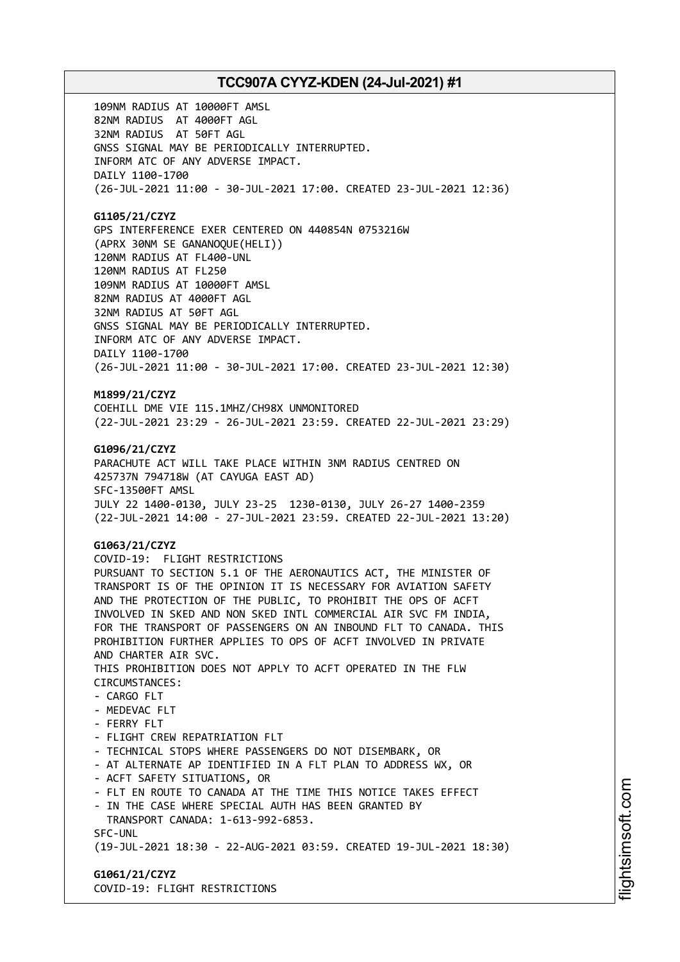109NM RADIUS AT 10000FT AMSL 82NM RADIUS AT 4000FT AGL 32NM RADIUS AT 50FT AGL GNSS SIGNAL MAY BE PERIODICALLY INTERRUPTED. INFORM ATC OF ANY ADVERSE IMPACT. DAILY 1100-1700 (26-JUL-2021 11:00 - 30-JUL-2021 17:00. CREATED 23-JUL-2021 12:36)

# **G1105/21/CZYZ**

GPS INTERFERENCE EXER CENTERED ON 440854N 0753216W (APRX 30NM SE GANANOQUE(HELI)) 120NM RADIUS AT FL400-UNL 120NM RADIUS AT FL250 109NM RADIUS AT 10000FT AMSL 82NM RADIUS AT 4000FT AGL 32NM RADIUS AT 50FT AGL GNSS SIGNAL MAY BE PERIODICALLY INTERRUPTED. INFORM ATC OF ANY ADVERSE IMPACT. DAILY 1100-1700 (26-JUL-2021 11:00 - 30-JUL-2021 17:00. CREATED 23-JUL-2021 12:30)

# **M1899/21/CZYZ**

COEHILL DME VIE 115.1MHZ/CH98X UNMONITORED (22-JUL-2021 23:29 - 26-JUL-2021 23:59. CREATED 22-JUL-2021 23:29)

## **G1096/21/CZYZ**

PARACHUTE ACT WILL TAKE PLACE WITHIN 3NM RADIUS CENTRED ON 425737N 794718W (AT CAYUGA EAST AD) SFC-13500FT AMSL JULY 22 1400-0130, JULY 23-25 1230-0130, JULY 26-27 1400-2359 (22-JUL-2021 14:00 - 27-JUL-2021 23:59. CREATED 22-JUL-2021 13:20)

# **G1063/21/CZYZ**

COVID-19: FLIGHT RESTRICTIONS PURSUANT TO SECTION 5.1 OF THE AERONAUTICS ACT, THE MINISTER OF TRANSPORT IS OF THE OPINION IT IS NECESSARY FOR AVIATION SAFETY AND THE PROTECTION OF THE PUBLIC, TO PROHIBIT THE OPS OF ACFT INVOLVED IN SKED AND NON SKED INTL COMMERCIAL AIR SVC FM INDIA, FOR THE TRANSPORT OF PASSENGERS ON AN INBOUND FLT TO CANADA. THIS PROHIBITION FURTHER APPLIES TO OPS OF ACFT INVOLVED IN PRIVATE AND CHARTER AIR SVC. THIS PROHIBITION DOES NOT APPLY TO ACFT OPERATED IN THE FLW CIRCUMSTANCES: - CARGO FLT - MEDEVAC FLT - FERRY FLT - FLIGHT CREW REPATRIATION FLT - TECHNICAL STOPS WHERE PASSENGERS DO NOT DISEMBARK, OR - AT ALTERNATE AP IDENTIFIED IN A FLT PLAN TO ADDRESS WX, OR - ACFT SAFETY SITUATIONS, OR - FLT EN ROUTE TO CANADA AT THE TIME THIS NOTICE TAKES EFFECT - IN THE CASE WHERE SPECIAL AUTH HAS BEEN GRANTED BY TRANSPORT CANADA: 1-613-992-6853. SFC-UNL (19-JUL-2021 18:30 - 22-AUG-2021 03:59. CREATED 19-JUL-2021 18:30)

## **G1061/21/CZYZ** COVID-19: FLIGHT RESTRICTIONS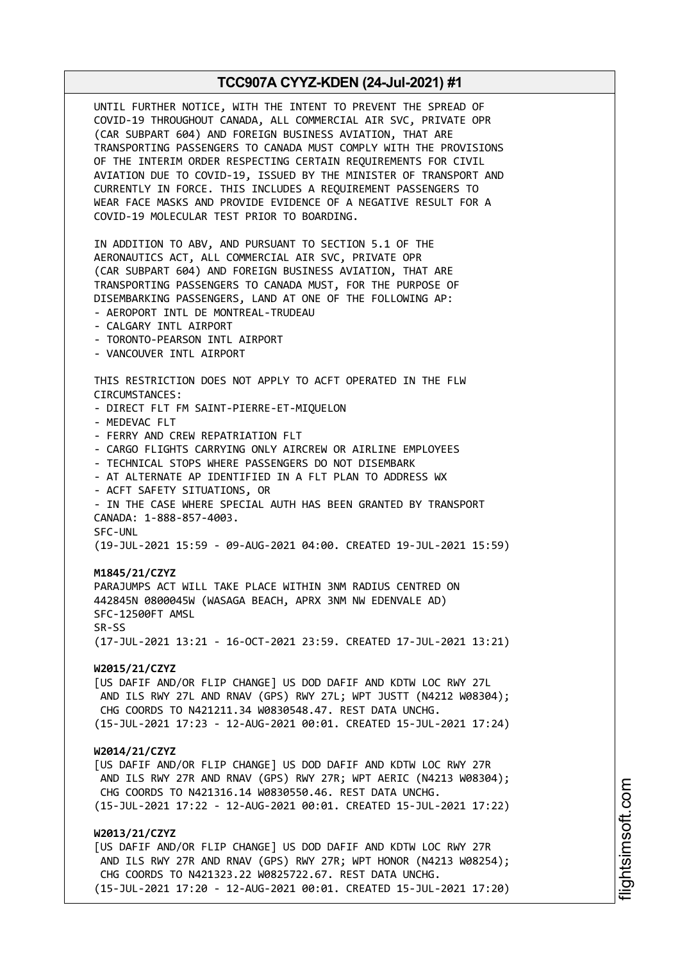UNTIL FURTHER NOTICE, WITH THE INTENT TO PREVENT THE SPREAD OF COVID-19 THROUGHOUT CANADA, ALL COMMERCIAL AIR SVC, PRIVATE OPR (CAR SUBPART 604) AND FOREIGN BUSINESS AVIATION, THAT ARE TRANSPORTING PASSENGERS TO CANADA MUST COMPLY WITH THE PROVISIONS OF THE INTERIM ORDER RESPECTING CERTAIN REQUIREMENTS FOR CIVIL AVIATION DUE TO COVID-19, ISSUED BY THE MINISTER OF TRANSPORT AND CURRENTLY IN FORCE. THIS INCLUDES A REQUIREMENT PASSENGERS TO WEAR FACE MASKS AND PROVIDE EVIDENCE OF A NEGATIVE RESULT FOR A COVID-19 MOLECULAR TEST PRIOR TO BOARDING. IN ADDITION TO ABV, AND PURSUANT TO SECTION 5.1 OF THE AERONAUTICS ACT, ALL COMMERCIAL AIR SVC, PRIVATE OPR (CAR SUBPART 604) AND FOREIGN BUSINESS AVIATION, THAT ARE TRANSPORTING PASSENGERS TO CANADA MUST, FOR THE PURPOSE OF DISEMBARKING PASSENGERS, LAND AT ONE OF THE FOLLOWING AP: - AEROPORT INTL DE MONTREAL-TRUDEAU - CALGARY INTL AIRPORT - TORONTO-PEARSON INTL AIRPORT - VANCOUVER INTL AIRPORT THIS RESTRICTION DOES NOT APPLY TO ACFT OPERATED IN THE FLW CIRCUMSTANCES: - DIRECT FLT FM SAINT-PIERRE-ET-MIQUELON - MEDEVAC FLT - FERRY AND CREW REPATRIATION FLT - CARGO FLIGHTS CARRYING ONLY AIRCREW OR AIRLINE EMPLOYEES - TECHNICAL STOPS WHERE PASSENGERS DO NOT DISEMBARK - AT ALTERNATE AP IDENTIFIED IN A FLT PLAN TO ADDRESS WX - ACFT SAFETY SITUATIONS, OR - IN THE CASE WHERE SPECIAL AUTH HAS BEEN GRANTED BY TRANSPORT CANADA: 1-888-857-4003. SFC-UNL (19-JUL-2021 15:59 - 09-AUG-2021 04:00. CREATED 19-JUL-2021 15:59) **M1845/21/CZYZ** PARAJUMPS ACT WILL TAKE PLACE WITHIN 3NM RADIUS CENTRED ON 442845N 0800045W (WASAGA BEACH, APRX 3NM NW EDENVALE AD) SFC-12500FT AMSL SR-SS (17-JUL-2021 13:21 - 16-OCT-2021 23:59. CREATED 17-JUL-2021 13:21) **W2015/21/CZYZ** [US DAFIF AND/OR FLIP CHANGE] US DOD DAFIF AND KDTW LOC RWY 27L AND ILS RWY 27L AND RNAV (GPS) RWY 27L; WPT JUSTT (N4212 W08304); CHG COORDS TO N421211.34 W0830548.47. REST DATA UNCHG. (15-JUL-2021 17:23 - 12-AUG-2021 00:01. CREATED 15-JUL-2021 17:24) **W2014/21/CZYZ** [US DAFIF AND/OR FLIP CHANGE] US DOD DAFIF AND KDTW LOC RWY 27R AND ILS RWY 27R AND RNAV (GPS) RWY 27R; WPT AERIC (N4213 W08304); CHG COORDS TO N421316.14 W0830550.46. REST DATA UNCHG. (15-JUL-2021 17:22 - 12-AUG-2021 00:01. CREATED 15-JUL-2021 17:22) **W2013/21/CZYZ** [US DAFIF AND/OR FLIP CHANGE] US DOD DAFIF AND KDTW LOC RWY 27R AND ILS RWY 27R AND RNAV (GPS) RWY 27R; WPT HONOR (N4213 W08254); CHG COORDS TO N421323.22 W0825722.67. REST DATA UNCHG. (15-JUL-2021 17:20 - 12-AUG-2021 00:01. CREATED 15-JUL-2021 17:20)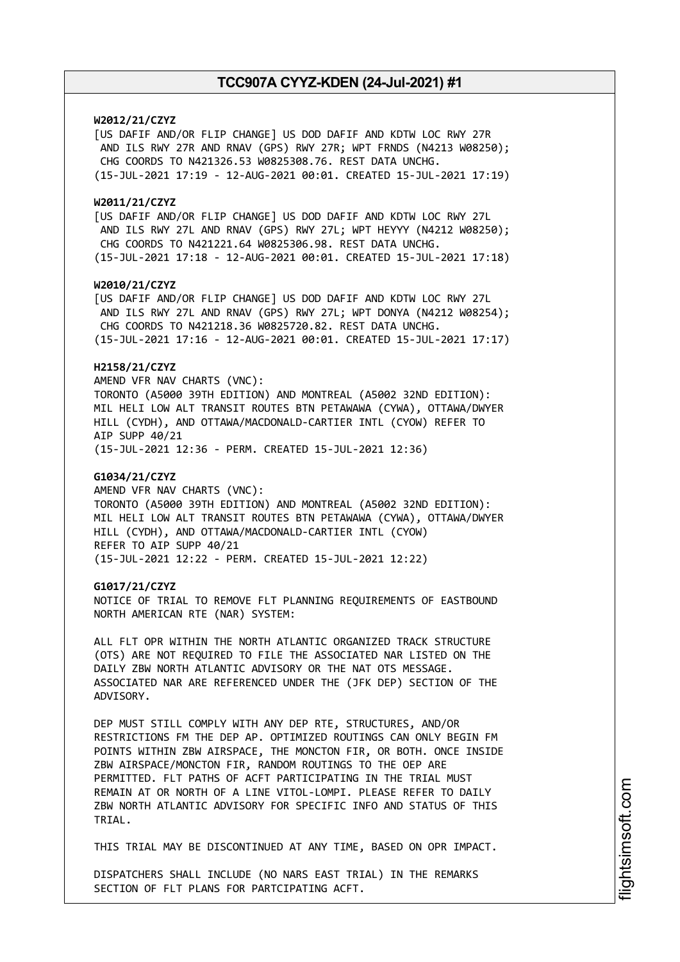# **W2012/21/CZYZ**

[US DAFIF AND/OR FLIP CHANGE] US DOD DAFIF AND KDTW LOC RWY 27R AND ILS RWY 27R AND RNAV (GPS) RWY 27R; WPT FRNDS (N4213 W08250); CHG COORDS TO N421326.53 W0825308.76. REST DATA UNCHG. (15-JUL-2021 17:19 - 12-AUG-2021 00:01. CREATED 15-JUL-2021 17:19)

## **W2011/21/CZYZ**

[US DAFIF AND/OR FLIP CHANGE] US DOD DAFIF AND KDTW LOC RWY 27L AND ILS RWY 27L AND RNAV (GPS) RWY 27L; WPT HEYYY (N4212 W08250); CHG COORDS TO N421221.64 W0825306.98. REST DATA UNCHG. (15-JUL-2021 17:18 - 12-AUG-2021 00:01. CREATED 15-JUL-2021 17:18)

## **W2010/21/CZYZ**

[US DAFIF AND/OR FLIP CHANGE] US DOD DAFIF AND KDTW LOC RWY 27L AND ILS RWY 27L AND RNAV (GPS) RWY 27L; WPT DONYA (N4212 W08254); CHG COORDS TO N421218.36 W0825720.82. REST DATA UNCHG.

# (15-JUL-2021 17:16 - 12-AUG-2021 00:01. CREATED 15-JUL-2021 17:17)

# **H2158/21/CZYZ**

AMEND VFR NAV CHARTS (VNC): TORONTO (A5000 39TH EDITION) AND MONTREAL (A5002 32ND EDITION): MIL HELI LOW ALT TRANSIT ROUTES BTN PETAWAWA (CYWA), OTTAWA/DWYER HILL (CYDH), AND OTTAWA/MACDONALD-CARTIER INTL (CYOW) REFER TO AIP SUPP 40/21

(15-JUL-2021 12:36 - PERM. CREATED 15-JUL-2021 12:36)

## **G1034/21/CZYZ**

AMEND VFR NAV CHARTS (VNC): TORONTO (A5000 39TH EDITION) AND MONTREAL (A5002 32ND EDITION): MIL HELI LOW ALT TRANSIT ROUTES BTN PETAWAWA (CYWA), OTTAWA/DWYER HILL (CYDH), AND OTTAWA/MACDONALD-CARTIER INTL (CYOW) REFER TO AIP SUPP 40/21 (15-JUL-2021 12:22 - PERM. CREATED 15-JUL-2021 12:22)

### **G1017/21/CZYZ**

NOTICE OF TRIAL TO REMOVE FLT PLANNING REQUIREMENTS OF EASTBOUND NORTH AMERICAN RTE (NAR) SYSTEM:

ALL FLT OPR WITHIN THE NORTH ATLANTIC ORGANIZED TRACK STRUCTURE (OTS) ARE NOT REQUIRED TO FILE THE ASSOCIATED NAR LISTED ON THE DAILY ZBW NORTH ATLANTIC ADVISORY OR THE NAT OTS MESSAGE. ASSOCIATED NAR ARE REFERENCED UNDER THE (JFK DEP) SECTION OF THE ADVISORY.

DEP MUST STILL COMPLY WITH ANY DEP RTE, STRUCTURES, AND/OR RESTRICTIONS FM THE DEP AP. OPTIMIZED ROUTINGS CAN ONLY BEGIN FM POINTS WITHIN ZBW AIRSPACE, THE MONCTON FIR, OR BOTH. ONCE INSIDE ZBW AIRSPACE/MONCTON FIR, RANDOM ROUTINGS TO THE OEP ARE PERMITTED. FLT PATHS OF ACFT PARTICIPATING IN THE TRIAL MUST REMAIN AT OR NORTH OF A LINE VITOL-LOMPI. PLEASE REFER TO DAILY ZBW NORTH ATLANTIC ADVISORY FOR SPECIFIC INFO AND STATUS OF THIS TRIAL.

THIS TRIAL MAY BE DISCONTINUED AT ANY TIME, BASED ON OPR IMPACT.

DISPATCHERS SHALL INCLUDE (NO NARS EAST TRIAL) IN THE REMARKS SECTION OF FLT PLANS FOR PARTCIPATING ACFT.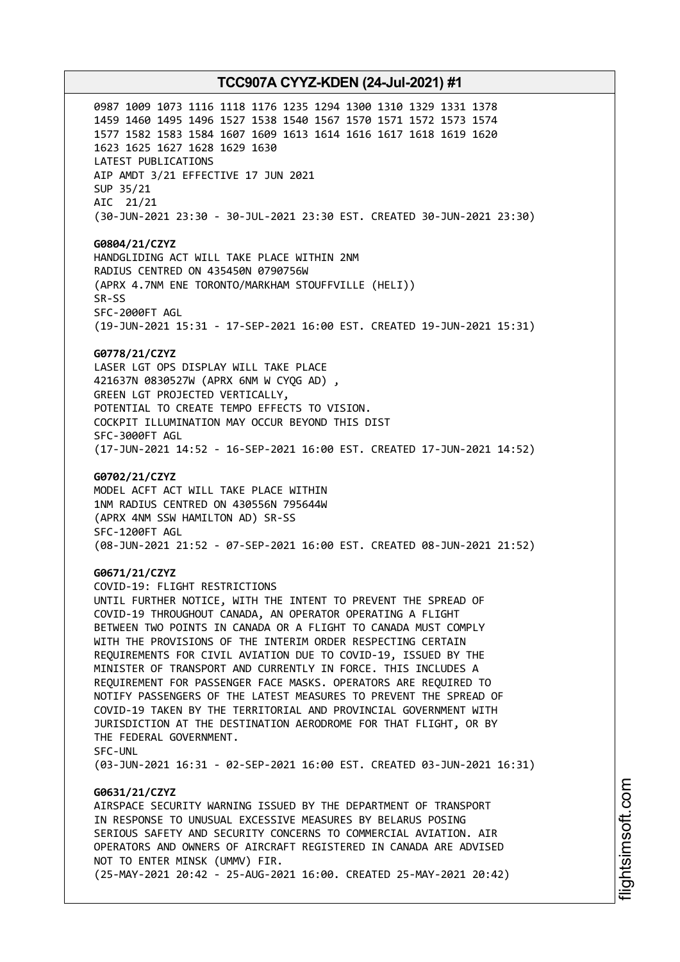0987 1009 1073 1116 1118 1176 1235 1294 1300 1310 1329 1331 1378 1459 1460 1495 1496 1527 1538 1540 1567 1570 1571 1572 1573 1574 1577 1582 1583 1584 1607 1609 1613 1614 1616 1617 1618 1619 1620 1623 1625 1627 1628 1629 1630 LATEST PUBLICATIONS AIP AMDT 3/21 EFFECTIVE 17 JUN 2021 SUP 35/21 AIC 21/21 (30-JUN-2021 23:30 - 30-JUL-2021 23:30 EST. CREATED 30-JUN-2021 23:30)

**G0804/21/CZYZ** HANDGLIDING ACT WILL TAKE PLACE WITHIN 2NM RADIUS CENTRED ON 435450N 0790756W (APRX 4.7NM ENE TORONTO/MARKHAM STOUFFVILLE (HELI)) SR-SS SFC-2000FT AGL (19-JUN-2021 15:31 - 17-SEP-2021 16:00 EST. CREATED 19-JUN-2021 15:31)

### **G0778/21/CZYZ**

LASER LGT OPS DISPLAY WILL TAKE PLACE 421637N 0830527W (APRX 6NM W CYQG AD) , GREEN LGT PROJECTED VERTICALLY, POTENTIAL TO CREATE TEMPO EFFECTS TO VISION. COCKPIT ILLUMINATION MAY OCCUR BEYOND THIS DIST SFC-3000FT AGL (17-JUN-2021 14:52 - 16-SEP-2021 16:00 EST. CREATED 17-JUN-2021 14:52)

### **G0702/21/CZYZ**

MODEL ACFT ACT WILL TAKE PLACE WITHIN 1NM RADIUS CENTRED ON 430556N 795644W (APRX 4NM SSW HAMILTON AD) SR-SS SFC-1200FT AGL (08-JUN-2021 21:52 - 07-SEP-2021 16:00 EST. CREATED 08-JUN-2021 21:52)

## **G0671/21/CZYZ**

COVID-19: FLIGHT RESTRICTIONS UNTIL FURTHER NOTICE, WITH THE INTENT TO PREVENT THE SPREAD OF COVID-19 THROUGHOUT CANADA, AN OPERATOR OPERATING A FLIGHT BETWEEN TWO POINTS IN CANADA OR A FLIGHT TO CANADA MUST COMPLY WITH THE PROVISIONS OF THE INTERIM ORDER RESPECTING CERTAIN REQUIREMENTS FOR CIVIL AVIATION DUE TO COVID-19, ISSUED BY THE MINISTER OF TRANSPORT AND CURRENTLY IN FORCE. THIS INCLUDES A REQUIREMENT FOR PASSENGER FACE MASKS. OPERATORS ARE REQUIRED TO NOTIFY PASSENGERS OF THE LATEST MEASURES TO PREVENT THE SPREAD OF COVID-19 TAKEN BY THE TERRITORIAL AND PROVINCIAL GOVERNMENT WITH JURISDICTION AT THE DESTINATION AERODROME FOR THAT FLIGHT, OR BY THE FEDERAL GOVERNMENT. SFC-UNL

(03-JUN-2021 16:31 - 02-SEP-2021 16:00 EST. CREATED 03-JUN-2021 16:31)

# **G0631/21/CZYZ**

AIRSPACE SECURITY WARNING ISSUED BY THE DEPARTMENT OF TRANSPORT IN RESPONSE TO UNUSUAL EXCESSIVE MEASURES BY BELARUS POSING SERIOUS SAFETY AND SECURITY CONCERNS TO COMMERCIAL AVIATION. AIR OPERATORS AND OWNERS OF AIRCRAFT REGISTERED IN CANADA ARE ADVISED NOT TO ENTER MINSK (UMMV) FIR. (25-MAY-2021 20:42 - 25-AUG-2021 16:00. CREATED 25-MAY-2021 20:42)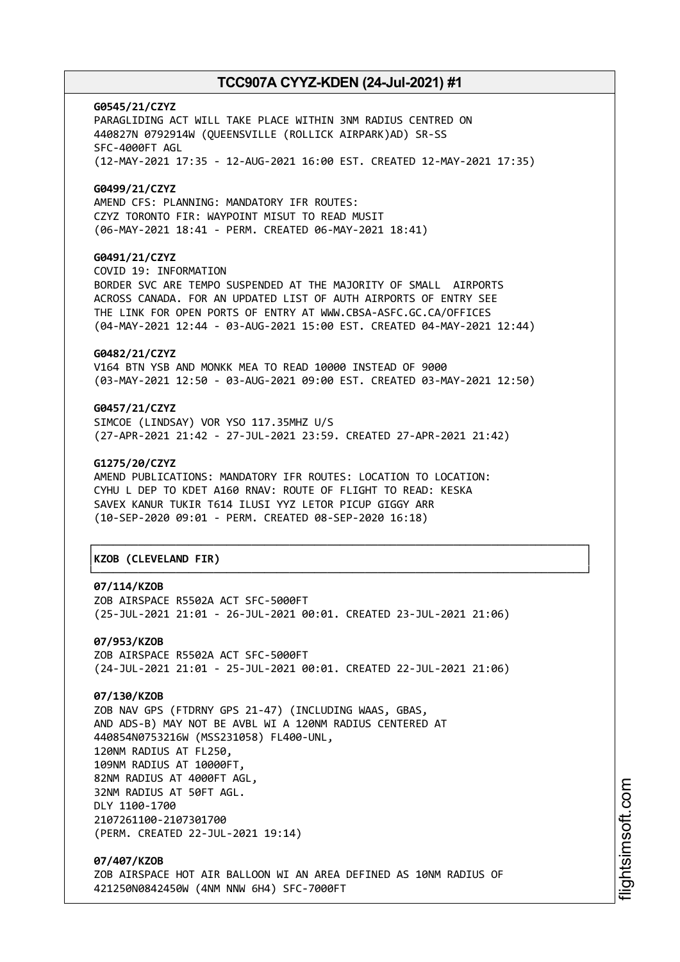**G0545/21/CZYZ** PARAGLIDING ACT WILL TAKE PLACE WITHIN 3NM RADIUS CENTRED ON 440827N 0792914W (QUEENSVILLE (ROLLICK AIRPARK)AD) SR-SS SFC-4000FT AGL (12-MAY-2021 17:35 - 12-AUG-2021 16:00 EST. CREATED 12-MAY-2021 17:35) **G0499/21/CZYZ** AMEND CFS: PLANNING: MANDATORY IFR ROUTES: CZYZ TORONTO FIR: WAYPOINT MISUT TO READ MUSIT (06-MAY-2021 18:41 - PERM. CREATED 06-MAY-2021 18:41) **G0491/21/CZYZ** COVID 19: INFORMATION BORDER SVC ARE TEMPO SUSPENDED AT THE MAJORITY OF SMALL AIRPORTS

ACROSS CANADA. FOR AN UPDATED LIST OF AUTH AIRPORTS OF ENTRY SEE THE LINK FOR OPEN PORTS OF ENTRY AT WWW.CBSA-ASFC.GC.CA/OFFICES (04-MAY-2021 12:44 - 03-AUG-2021 15:00 EST. CREATED 04-MAY-2021 12:44)

# **G0482/21/CZYZ**

V164 BTN YSB AND MONKK MEA TO READ 10000 INSTEAD OF 9000 (03-MAY-2021 12:50 - 03-AUG-2021 09:00 EST. CREATED 03-MAY-2021 12:50)

# **G0457/21/CZYZ**

SIMCOE (LINDSAY) VOR YSO 117.35MHZ U/S (27-APR-2021 21:42 - 27-JUL-2021 23:59. CREATED 27-APR-2021 21:42)

## **G1275/20/CZYZ**

AMEND PUBLICATIONS: MANDATORY IFR ROUTES: LOCATION TO LOCATION: CYHU L DEP TO KDET A160 RNAV: ROUTE OF FLIGHT TO READ: KESKA SAVEX KANUR TUKIR T614 ILUSI YYZ LETOR PICUP GIGGY ARR (10-SEP-2020 09:01 - PERM. CREATED 08-SEP-2020 16:18)

# │**KZOB (CLEVELAND FIR)** │

## **07/114/KZOB**

ZOB AIRSPACE R5502A ACT SFC-5000FT (25-JUL-2021 21:01 - 26-JUL-2021 00:01. CREATED 23-JUL-2021 21:06)

┌──────────────────────────────────────────────────────────────────────────────┐

└──────────────────────────────────────────────────────────────────────────────┘

**07/953/KZOB** ZOB AIRSPACE R5502A ACT SFC-5000FT (24-JUL-2021 21:01 - 25-JUL-2021 00:01. CREATED 22-JUL-2021 21:06)

# **07/130/KZOB**

ZOB NAV GPS (FTDRNY GPS 21-47) (INCLUDING WAAS, GBAS, AND ADS-B) MAY NOT BE AVBL WI A 120NM RADIUS CENTERED AT 440854N0753216W (MSS231058) FL400-UNL, 120NM RADIUS AT FL250, 109NM RADIUS AT 10000FT, 82NM RADIUS AT 4000FT AGL, 32NM RADIUS AT 50FT AGL. DLY 1100-1700 2107261100-2107301700 (PERM. CREATED 22-JUL-2021 19:14)

**07/407/KZOB** ZOB AIRSPACE HOT AIR BALLOON WI AN AREA DEFINED AS 10NM RADIUS OF 421250N0842450W (4NM NNW 6H4) SFC-7000FT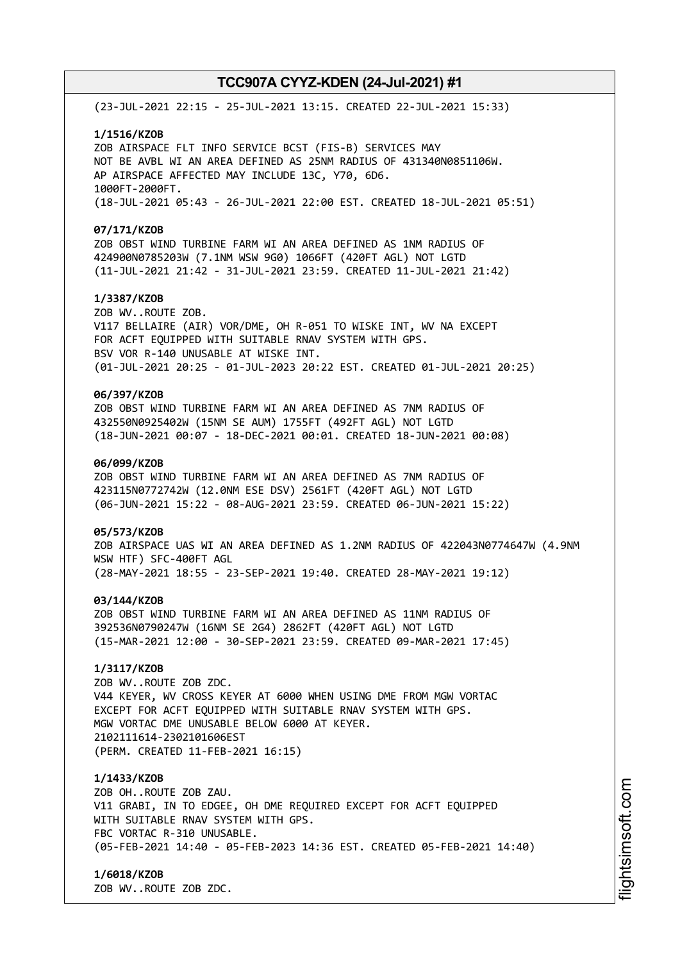(23-JUL-2021 22:15 - 25-JUL-2021 13:15. CREATED 22-JUL-2021 15:33)

### **1/1516/KZOB**

ZOB AIRSPACE FLT INFO SERVICE BCST (FIS-B) SERVICES MAY NOT BE AVBL WI AN AREA DEFINED AS 25NM RADIUS OF 431340N0851106W. AP AIRSPACE AFFECTED MAY INCLUDE 13C, Y70, 6D6. 1000FT-2000FT. (18-JUL-2021 05:43 - 26-JUL-2021 22:00 EST. CREATED 18-JUL-2021 05:51)

#### **07/171/KZOB**

ZOB OBST WIND TURBINE FARM WI AN AREA DEFINED AS 1NM RADIUS OF 424900N0785203W (7.1NM WSW 9G0) 1066FT (420FT AGL) NOT LGTD (11-JUL-2021 21:42 - 31-JUL-2021 23:59. CREATED 11-JUL-2021 21:42)

# **1/3387/KZOB**

ZOB WV..ROUTE ZOB. V117 BELLAIRE (AIR) VOR/DME, OH R-051 TO WISKE INT, WV NA EXCEPT FOR ACFT EQUIPPED WITH SUITABLE RNAV SYSTEM WITH GPS. BSV VOR R-140 UNUSABLE AT WISKE INT. (01-JUL-2021 20:25 - 01-JUL-2023 20:22 EST. CREATED 01-JUL-2021 20:25)

# **06/397/KZOB**

ZOB OBST WIND TURBINE FARM WI AN AREA DEFINED AS 7NM RADIUS OF 432550N0925402W (15NM SE AUM) 1755FT (492FT AGL) NOT LGTD (18-JUN-2021 00:07 - 18-DEC-2021 00:01. CREATED 18-JUN-2021 00:08)

## **06/099/KZOB**

ZOB OBST WIND TURBINE FARM WI AN AREA DEFINED AS 7NM RADIUS OF 423115N0772742W (12.0NM ESE DSV) 2561FT (420FT AGL) NOT LGTD (06-JUN-2021 15:22 - 08-AUG-2021 23:59. CREATED 06-JUN-2021 15:22)

### **05/573/KZOB**

ZOB AIRSPACE UAS WI AN AREA DEFINED AS 1.2NM RADIUS OF 422043N0774647W (4.9NM WSW HTF) SFC-400FT AGL (28-MAY-2021 18:55 - 23-SEP-2021 19:40. CREATED 28-MAY-2021 19:12)

## **03/144/KZOB**

ZOB OBST WIND TURBINE FARM WI AN AREA DEFINED AS 11NM RADIUS OF 392536N0790247W (16NM SE 2G4) 2862FT (420FT AGL) NOT LGTD (15-MAR-2021 12:00 - 30-SEP-2021 23:59. CREATED 09-MAR-2021 17:45)

# **1/3117/KZOB**

ZOB WV..ROUTE ZOB ZDC. V44 KEYER, WV CROSS KEYER AT 6000 WHEN USING DME FROM MGW VORTAC EXCEPT FOR ACFT EQUIPPED WITH SUITABLE RNAV SYSTEM WITH GPS. MGW VORTAC DME UNUSABLE BELOW 6000 AT KEYER. 2102111614-2302101606EST (PERM. CREATED 11-FEB-2021 16:15)

## **1/1433/KZOB**

ZOB OH..ROUTE ZOB ZAU. V11 GRABI, IN TO EDGEE, OH DME REQUIRED EXCEPT FOR ACFT EQUIPPED WITH SUITABLE RNAV SYSTEM WITH GPS. FBC VORTAC R-310 UNUSABLE. (05-FEB-2021 14:40 - 05-FEB-2023 14:36 EST. CREATED 05-FEB-2021 14:40)

## **1/6018/KZOB**

ZOB WV..ROUTE ZOB ZDC.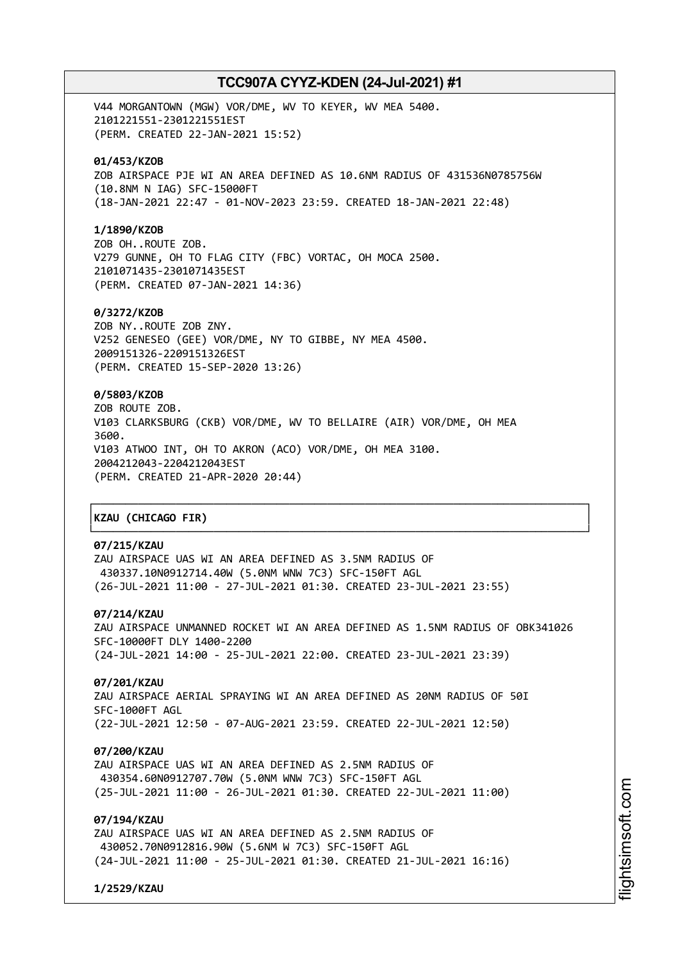V44 MORGANTOWN (MGW) VOR/DME, WV TO KEYER, WV MEA 5400. 2101221551-2301221551EST (PERM. CREATED 22-JAN-2021 15:52)

# **01/453/KZOB**

ZOB AIRSPACE PJE WI AN AREA DEFINED AS 10.6NM RADIUS OF 431536N0785756W (10.8NM N IAG) SFC-15000FT (18-JAN-2021 22:47 - 01-NOV-2023 23:59. CREATED 18-JAN-2021 22:48)

## **1/1890/KZOB**

ZOB OH..ROUTE ZOB. V279 GUNNE, OH TO FLAG CITY (FBC) VORTAC, OH MOCA 2500. 2101071435-2301071435EST (PERM. CREATED 07-JAN-2021 14:36)

## **0/3272/KZOB**

ZOB NY..ROUTE ZOB ZNY. V252 GENESEO (GEE) VOR/DME, NY TO GIBBE, NY MEA 4500. 2009151326-2209151326EST (PERM. CREATED 15-SEP-2020 13:26)

# **0/5803/KZOB**

ZOB ROUTE ZOB. V103 CLARKSBURG (CKB) VOR/DME, WV TO BELLAIRE (AIR) VOR/DME, OH MEA 3600. V103 ATWOO INT, OH TO AKRON (ACO) VOR/DME, OH MEA 3100. 2004212043-2204212043EST (PERM. CREATED 21-APR-2020 20:44)

# │**KZAU (CHICAGO FIR)** │

# **07/215/KZAU**

ZAU AIRSPACE UAS WI AN AREA DEFINED AS 3.5NM RADIUS OF 430337.10N0912714.40W (5.0NM WNW 7C3) SFC-150FT AGL (26-JUL-2021 11:00 - 27-JUL-2021 01:30. CREATED 23-JUL-2021 23:55)

# **07/214/KZAU**

ZAU AIRSPACE UNMANNED ROCKET WI AN AREA DEFINED AS 1.5NM RADIUS OF OBK341026 SFC-10000FT DLY 1400-2200 (24-JUL-2021 14:00 - 25-JUL-2021 22:00. CREATED 23-JUL-2021 23:39)

┌──────────────────────────────────────────────────────────────────────────────┐

└──────────────────────────────────────────────────────────────────────────────┘

### **07/201/KZAU**

ZAU AIRSPACE AERIAL SPRAYING WI AN AREA DEFINED AS 20NM RADIUS OF 50I SFC-1000FT AGL (22-JUL-2021 12:50 - 07-AUG-2021 23:59. CREATED 22-JUL-2021 12:50)

### **07/200/KZAU**

ZAU AIRSPACE UAS WI AN AREA DEFINED AS 2.5NM RADIUS OF 430354.60N0912707.70W (5.0NM WNW 7C3) SFC-150FT AGL (25-JUL-2021 11:00 - 26-JUL-2021 01:30. CREATED 22-JUL-2021 11:00)

# **07/194/KZAU**

ZAU AIRSPACE UAS WI AN AREA DEFINED AS 2.5NM RADIUS OF 430052.70N0912816.90W (5.6NM W 7C3) SFC-150FT AGL (24-JUL-2021 11:00 - 25-JUL-2021 01:30. CREATED 21-JUL-2021 16:16)

**1/2529/KZAU**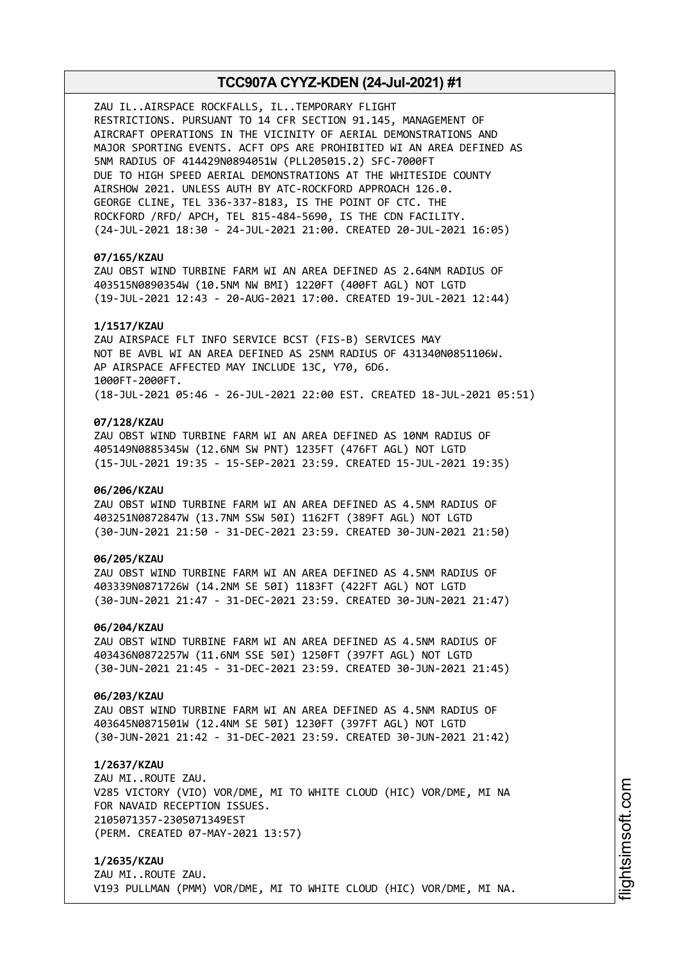ZAU IL..AIRSPACE ROCKFALLS, IL..TEMPORARY FLIGHT RESTRICTIONS. PURSUANT TO 14 CFR SECTION 91.145, MANAGEMENT OF AIRCRAFT OPERATIONS IN THE VICINITY OF AERIAL DEMONSTRATIONS AND MAJOR SPORTING EVENTS. ACFT OPS ARE PROHIBITED WI AN AREA DEFINED AS 5NM RADIUS OF 414429N0894051W (PLL205015.2) SFC-7000FT DUE TO HIGH SPEED AERIAL DEMONSTRATIONS AT THE WHITESIDE COUNTY AIRSHOW 2021. UNLESS AUTH BY ATC-ROCKFORD APPROACH 126.0. GEORGE CLINE, TEL 336-337-8183, IS THE POINT OF CTC. THE ROCKFORD /RFD/ APCH, TEL 815-484-5690, IS THE CDN FACILITY. (24-JUL-2021 18:30 - 24-JUL-2021 21:00. CREATED 20-JUL-2021 16:05)

## **07/165/KZAU**

ZAU OBST WIND TURBINE FARM WI AN AREA DEFINED AS 2.64NM RADIUS OF 403515N0890354W (10.5NM NW BMI) 1220FT (400FT AGL) NOT LGTD (19-JUL-2021 12:43 - 20-AUG-2021 17:00. CREATED 19-JUL-2021 12:44)

## **1/1517/KZAU**

ZAU AIRSPACE FLT INFO SERVICE BCST (FIS-B) SERVICES MAY NOT BE AVBL WI AN AREA DEFINED AS 25NM RADIUS OF 431340N0851106W. AP AIRSPACE AFFECTED MAY INCLUDE 13C, Y70, 6D6. 1000FT-2000FT. (18-JUL-2021 05:46 - 26-JUL-2021 22:00 EST. CREATED 18-JUL-2021 05:51)

## **07/128/KZAU**

ZAU OBST WIND TURBINE FARM WI AN AREA DEFINED AS 10NM RADIUS OF 405149N0885345W (12.6NM SW PNT) 1235FT (476FT AGL) NOT LGTD (15-JUL-2021 19:35 - 15-SEP-2021 23:59. CREATED 15-JUL-2021 19:35)

## **06/206/KZAU**

ZAU OBST WIND TURBINE FARM WI AN AREA DEFINED AS 4.5NM RADIUS OF 403251N0872847W (13.7NM SSW 50I) 1162FT (389FT AGL) NOT LGTD (30-JUN-2021 21:50 - 31-DEC-2021 23:59. CREATED 30-JUN-2021 21:50)

## **06/205/KZAU**

ZAU OBST WIND TURBINE FARM WI AN AREA DEFINED AS 4.5NM RADIUS OF 403339N0871726W (14.2NM SE 50I) 1183FT (422FT AGL) NOT LGTD (30-JUN-2021 21:47 - 31-DEC-2021 23:59. CREATED 30-JUN-2021 21:47)

### **06/204/KZAU**

ZAU OBST WIND TURBINE FARM WI AN AREA DEFINED AS 4.5NM RADIUS OF 403436N0872257W (11.6NM SSE 50I) 1250FT (397FT AGL) NOT LGTD (30-JUN-2021 21:45 - 31-DEC-2021 23:59. CREATED 30-JUN-2021 21:45)

## **06/203/KZAU**

ZAU OBST WIND TURBINE FARM WI AN AREA DEFINED AS 4.5NM RADIUS OF 403645N0871501W (12.4NM SE 50I) 1230FT (397FT AGL) NOT LGTD (30-JUN-2021 21:42 - 31-DEC-2021 23:59. CREATED 30-JUN-2021 21:42)

### **1/2637/KZAU**

ZAU MI..ROUTE ZAU. V285 VICTORY (VIO) VOR/DME, MI TO WHITE CLOUD (HIC) VOR/DME, MI NA FOR NAVAID RECEPTION ISSUES. 2105071357-2305071349EST (PERM. CREATED 07-MAY-2021 13:57)

**1/2635/KZAU** ZAU MI..ROUTE ZAU. V193 PULLMAN (PMM) VOR/DME, MI TO WHITE CLOUD (HIC) VOR/DME, MI NA.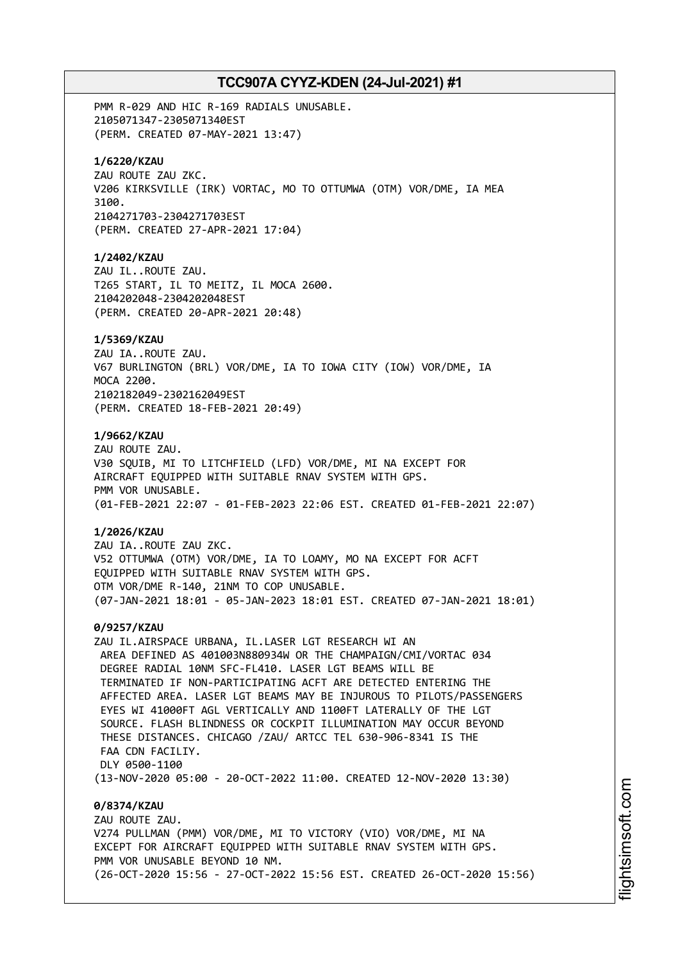PMM R-029 AND HIC R-169 RADIALS UNUSABLE. 2105071347-2305071340EST (PERM. CREATED 07-MAY-2021 13:47) **1/6220/KZAU** ZAU ROUTE ZAU ZKC. V206 KIRKSVILLE (IRK) VORTAC, MO TO OTTUMWA (OTM) VOR/DME, IA MEA 3100. 2104271703-2304271703EST (PERM. CREATED 27-APR-2021 17:04) **1/2402/KZAU** ZAU IL..ROUTE ZAU. T265 START, IL TO MEITZ, IL MOCA 2600. 2104202048-2304202048EST (PERM. CREATED 20-APR-2021 20:48) **1/5369/KZAU** ZAU IA..ROUTE ZAU. V67 BURLINGTON (BRL) VOR/DME, IA TO IOWA CITY (IOW) VOR/DME, IA MOCA 2200. 2102182049-2302162049EST (PERM. CREATED 18-FEB-2021 20:49) **1/9662/KZAU** ZAU ROUTE ZAU. V30 SQUIB, MI TO LITCHFIELD (LFD) VOR/DME, MI NA EXCEPT FOR AIRCRAFT EQUIPPED WITH SUITABLE RNAV SYSTEM WITH GPS. PMM VOR UNUSABLE. (01-FEB-2021 22:07 - 01-FEB-2023 22:06 EST. CREATED 01-FEB-2021 22:07) **1/2026/KZAU** ZAU IA..ROUTE ZAU ZKC. V52 OTTUMWA (OTM) VOR/DME, IA TO LOAMY, MO NA EXCEPT FOR ACFT EQUIPPED WITH SUITABLE RNAV SYSTEM WITH GPS. OTM VOR/DME R-140, 21NM TO COP UNUSABLE. (07-JAN-2021 18:01 - 05-JAN-2023 18:01 EST. CREATED 07-JAN-2021 18:01) **0/9257/KZAU** ZAU IL.AIRSPACE URBANA, IL.LASER LGT RESEARCH WI AN AREA DEFINED AS 401003N880934W OR THE CHAMPAIGN/CMI/VORTAC 034 DEGREE RADIAL 10NM SFC-FL410. LASER LGT BEAMS WILL BE TERMINATED IF NON-PARTICIPATING ACFT ARE DETECTED ENTERING THE AFFECTED AREA. LASER LGT BEAMS MAY BE INJUROUS TO PILOTS/PASSENGERS EYES WI 41000FT AGL VERTICALLY AND 1100FT LATERALLY OF THE LGT SOURCE. FLASH BLINDNESS OR COCKPIT ILLUMINATION MAY OCCUR BEYOND THESE DISTANCES. CHICAGO /ZAU/ ARTCC TEL 630-906-8341 IS THE FAA CDN FACTLTY. DLY 0500-1100 (13-NOV-2020 05:00 - 20-OCT-2022 11:00. CREATED 12-NOV-2020 13:30) **0/8374/KZAU** ZAU ROUTE ZAU. V274 PULLMAN (PMM) VOR/DME, MI TO VICTORY (VIO) VOR/DME, MI NA EXCEPT FOR AIRCRAFT EQUIPPED WITH SUITABLE RNAV SYSTEM WITH GPS. PMM VOR UNUSABLE BEYOND 10 NM.

(26-OCT-2020 15:56 - 27-OCT-2022 15:56 EST. CREATED 26-OCT-2020 15:56)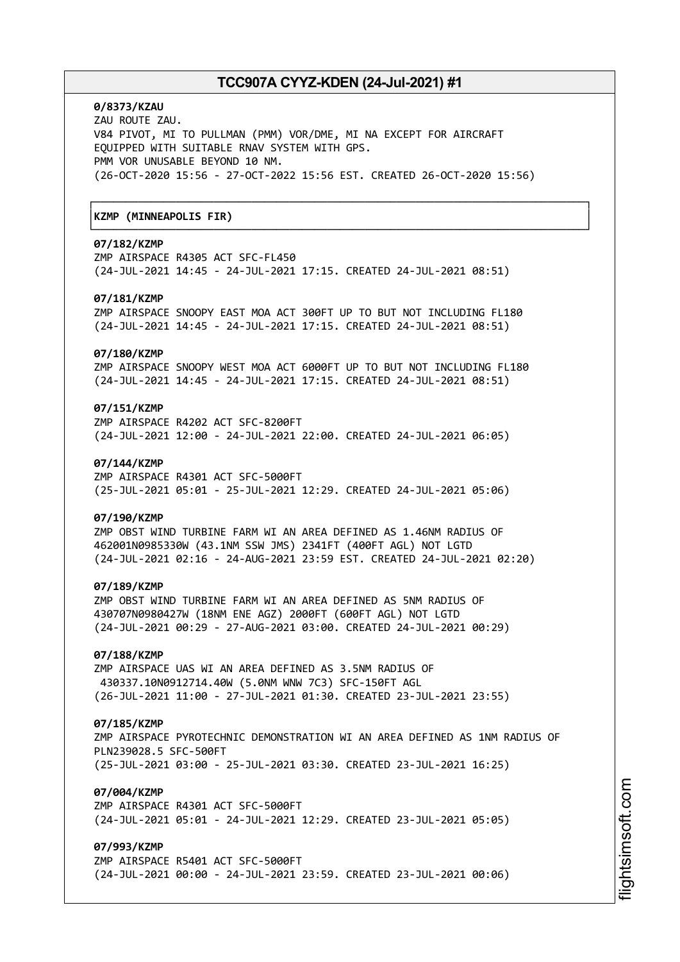┌──────────────────────────────────────────────────────────────────────────────┐

└──────────────────────────────────────────────────────────────────────────────┘

# **0/8373/KZAU**

ZAU ROUTE ZAU. V84 PIVOT, MI TO PULLMAN (PMM) VOR/DME, MI NA EXCEPT FOR AIRCRAFT EQUIPPED WITH SUITABLE RNAV SYSTEM WITH GPS. PMM VOR UNUSABLE BEYOND 10 NM. (26-OCT-2020 15:56 - 27-OCT-2022 15:56 EST. CREATED 26-OCT-2020 15:56)

# │**KZMP (MINNEAPOLIS FIR)** │

# **07/182/KZMP**

ZMP AIRSPACE R4305 ACT SFC-FL450 (24-JUL-2021 14:45 - 24-JUL-2021 17:15. CREATED 24-JUL-2021 08:51)

## **07/181/KZMP**

ZMP AIRSPACE SNOOPY EAST MOA ACT 300FT UP TO BUT NOT INCLUDING FL180 (24-JUL-2021 14:45 - 24-JUL-2021 17:15. CREATED 24-JUL-2021 08:51)

## **07/180/KZMP**

ZMP AIRSPACE SNOOPY WEST MOA ACT 6000FT UP TO BUT NOT INCLUDING FL180 (24-JUL-2021 14:45 - 24-JUL-2021 17:15. CREATED 24-JUL-2021 08:51)

# **07/151/KZMP**

ZMP AIRSPACE R4202 ACT SFC-8200FT (24-JUL-2021 12:00 - 24-JUL-2021 22:00. CREATED 24-JUL-2021 06:05)

## **07/144/KZMP**

ZMP AIRSPACE R4301 ACT SFC-5000FT (25-JUL-2021 05:01 - 25-JUL-2021 12:29. CREATED 24-JUL-2021 05:06)

## **07/190/KZMP**

ZMP OBST WIND TURBINE FARM WI AN AREA DEFINED AS 1.46NM RADIUS OF 462001N0985330W (43.1NM SSW JMS) 2341FT (400FT AGL) NOT LGTD (24-JUL-2021 02:16 - 24-AUG-2021 23:59 EST. CREATED 24-JUL-2021 02:20)

#### **07/189/KZMP**

ZMP OBST WIND TURBINE FARM WI AN AREA DEFINED AS 5NM RADIUS OF 430707N0980427W (18NM ENE AGZ) 2000FT (600FT AGL) NOT LGTD (24-JUL-2021 00:29 - 27-AUG-2021 03:00. CREATED 24-JUL-2021 00:29)

# **07/188/KZMP**

ZMP AIRSPACE UAS WI AN AREA DEFINED AS 3.5NM RADIUS OF 430337.10N0912714.40W (5.0NM WNW 7C3) SFC-150FT AGL (26-JUL-2021 11:00 - 27-JUL-2021 01:30. CREATED 23-JUL-2021 23:55)

### **07/185/KZMP**

ZMP AIRSPACE PYROTECHNIC DEMONSTRATION WI AN AREA DEFINED AS 1NM RADIUS OF PLN239028.5 SFC-500FT (25-JUL-2021 03:00 - 25-JUL-2021 03:30. CREATED 23-JUL-2021 16:25)

## **07/004/KZMP**

ZMP AIRSPACE R4301 ACT SFC-5000FT (24-JUL-2021 05:01 - 24-JUL-2021 12:29. CREATED 23-JUL-2021 05:05)

# **07/993/KZMP**

ZMP AIRSPACE R5401 ACT SFC-5000FT (24-JUL-2021 00:00 - 24-JUL-2021 23:59. CREATED 23-JUL-2021 00:06)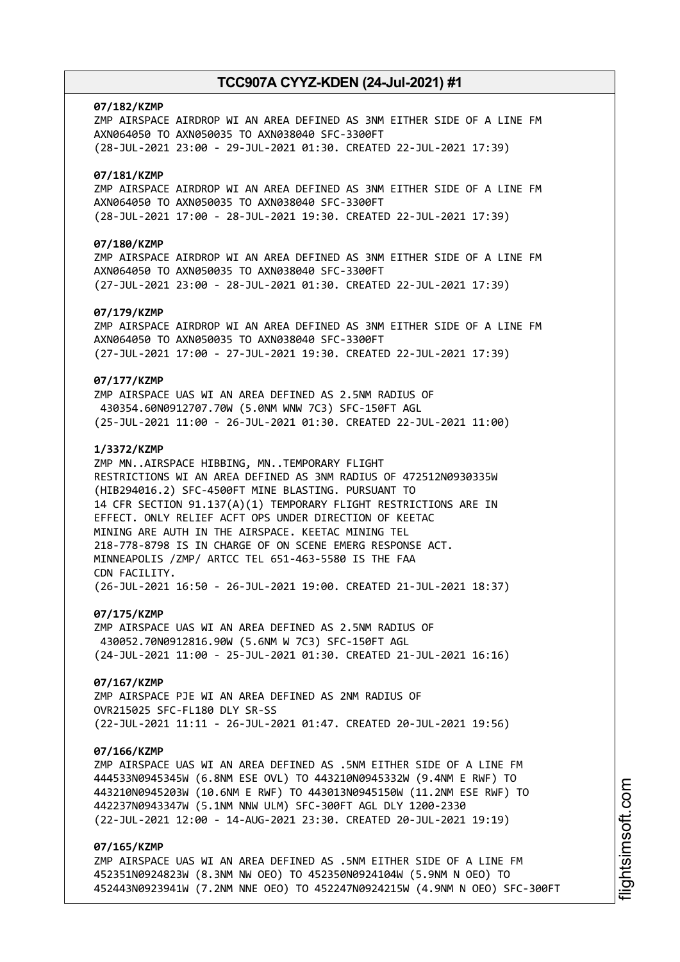## **07/182/KZMP**

ZMP AIRSPACE AIRDROP WI AN AREA DEFINED AS 3NM EITHER SIDE OF A LINE FM AXN064050 TO AXN050035 TO AXN038040 SFC-3300FT (28-JUL-2021 23:00 - 29-JUL-2021 01:30. CREATED 22-JUL-2021 17:39)

## **07/181/KZMP**

ZMP AIRSPACE AIRDROP WI AN AREA DEFINED AS 3NM EITHER SIDE OF A LINE FM AXN064050 TO AXN050035 TO AXN038040 SFC-3300FT (28-JUL-2021 17:00 - 28-JUL-2021 19:30. CREATED 22-JUL-2021 17:39)

# **07/180/KZMP**

ZMP AIRSPACE AIRDROP WI AN AREA DEFINED AS 3NM EITHER SIDE OF A LINE FM AXN064050 TO AXN050035 TO AXN038040 SFC-3300FT (27-JUL-2021 23:00 - 28-JUL-2021 01:30. CREATED 22-JUL-2021 17:39)

# **07/179/KZMP**

ZMP AIRSPACE AIRDROP WI AN AREA DEFINED AS 3NM EITHER SIDE OF A LINE FM AXN064050 TO AXN050035 TO AXN038040 SFC-3300FT (27-JUL-2021 17:00 - 27-JUL-2021 19:30. CREATED 22-JUL-2021 17:39)

## **07/177/KZMP**

ZMP AIRSPACE UAS WI AN AREA DEFINED AS 2.5NM RADIUS OF 430354.60N0912707.70W (5.0NM WNW 7C3) SFC-150FT AGL (25-JUL-2021 11:00 - 26-JUL-2021 01:30. CREATED 22-JUL-2021 11:00)

## **1/3372/KZMP**

ZMP MN..AIRSPACE HIBBING, MN..TEMPORARY FLIGHT RESTRICTIONS WI AN AREA DEFINED AS 3NM RADIUS OF 472512N0930335W (HIB294016.2) SFC-4500FT MINE BLASTING. PURSUANT TO 14 CFR SECTION 91.137(A)(1) TEMPORARY FLIGHT RESTRICTIONS ARE IN EFFECT. ONLY RELIEF ACFT OPS UNDER DIRECTION OF KEETAC MINING ARE AUTH IN THE AIRSPACE. KEETAC MINING TEL 218-778-8798 IS IN CHARGE OF ON SCENE EMERG RESPONSE ACT. MINNEAPOLIS /ZMP/ ARTCC TEL 651-463-5580 IS THE FAA CDN FACILITY. (26-JUL-2021 16:50 - 26-JUL-2021 19:00. CREATED 21-JUL-2021 18:37)

## **07/175/KZMP**

ZMP AIRSPACE UAS WI AN AREA DEFINED AS 2.5NM RADIUS OF 430052.70N0912816.90W (5.6NM W 7C3) SFC-150FT AGL (24-JUL-2021 11:00 - 25-JUL-2021 01:30. CREATED 21-JUL-2021 16:16)

#### **07/167/KZMP**

ZMP AIRSPACE PJE WI AN AREA DEFINED AS 2NM RADIUS OF OVR215025 SFC-FL180 DLY SR-SS (22-JUL-2021 11:11 - 26-JUL-2021 01:47. CREATED 20-JUL-2021 19:56)

### **07/166/KZMP**

ZMP AIRSPACE UAS WI AN AREA DEFINED AS .5NM EITHER SIDE OF A LINE FM 444533N0945345W (6.8NM ESE OVL) TO 443210N0945332W (9.4NM E RWF) TO 443210N0945203W (10.6NM E RWF) TO 443013N0945150W (11.2NM ESE RWF) TO 442237N0943347W (5.1NM NNW ULM) SFC-300FT AGL DLY 1200-2330 (22-JUL-2021 12:00 - 14-AUG-2021 23:30. CREATED 20-JUL-2021 19:19)

# **07/165/KZMP**

ZMP AIRSPACE UAS WI AN AREA DEFINED AS .5NM EITHER SIDE OF A LINE FM 452351N0924823W (8.3NM NW OEO) TO 452350N0924104W (5.9NM N OEO) TO 452443N0923941W (7.2NM NNE OEO) TO 452247N0924215W (4.9NM N OEO) SFC-300FT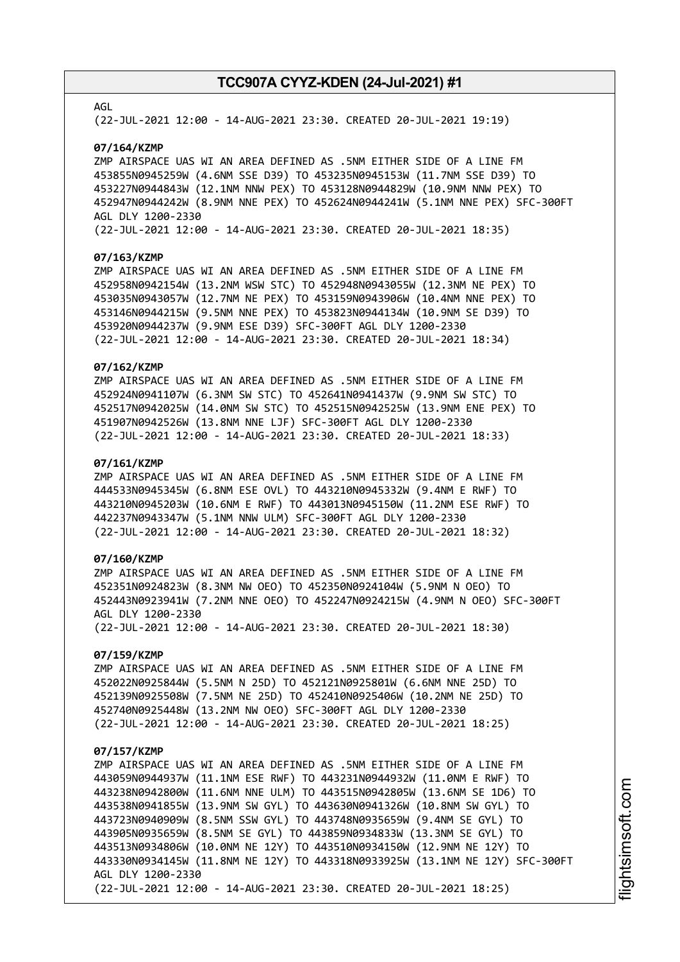## AGL

(22-JUL-2021 12:00 - 14-AUG-2021 23:30. CREATED 20-JUL-2021 19:19)

### **07/164/KZMP**

ZMP AIRSPACE UAS WI AN AREA DEFINED AS .5NM EITHER SIDE OF A LINE FM 453855N0945259W (4.6NM SSE D39) TO 453235N0945153W (11.7NM SSE D39) TO 453227N0944843W (12.1NM NNW PEX) TO 453128N0944829W (10.9NM NNW PEX) TO 452947N0944242W (8.9NM NNE PEX) TO 452624N0944241W (5.1NM NNE PEX) SFC-300FT AGL DLY 1200-2330

(22-JUL-2021 12:00 - 14-AUG-2021 23:30. CREATED 20-JUL-2021 18:35)

### **07/163/KZMP**

ZMP AIRSPACE UAS WI AN AREA DEFINED AS .5NM EITHER SIDE OF A LINE FM 452958N0942154W (13.2NM WSW STC) TO 452948N0943055W (12.3NM NE PEX) TO 453035N0943057W (12.7NM NE PEX) TO 453159N0943906W (10.4NM NNE PEX) TO 453146N0944215W (9.5NM NNE PEX) TO 453823N0944134W (10.9NM SE D39) TO 453920N0944237W (9.9NM ESE D39) SFC-300FT AGL DLY 1200-2330 (22-JUL-2021 12:00 - 14-AUG-2021 23:30. CREATED 20-JUL-2021 18:34)

## **07/162/KZMP**

ZMP AIRSPACE UAS WI AN AREA DEFINED AS .5NM EITHER SIDE OF A LINE FM 452924N0941107W (6.3NM SW STC) TO 452641N0941437W (9.9NM SW STC) TO 452517N0942025W (14.0NM SW STC) TO 452515N0942525W (13.9NM ENE PEX) TO 451907N0942526W (13.8NM NNE LJF) SFC-300FT AGL DLY 1200-2330 (22-JUL-2021 12:00 - 14-AUG-2021 23:30. CREATED 20-JUL-2021 18:33)

## **07/161/KZMP**

ZMP AIRSPACE UAS WI AN AREA DEFINED AS .5NM EITHER SIDE OF A LINE FM 444533N0945345W (6.8NM ESE OVL) TO 443210N0945332W (9.4NM E RWF) TO 443210N0945203W (10.6NM E RWF) TO 443013N0945150W (11.2NM ESE RWF) TO 442237N0943347W (5.1NM NNW ULM) SFC-300FT AGL DLY 1200-2330 (22-JUL-2021 12:00 - 14-AUG-2021 23:30. CREATED 20-JUL-2021 18:32)

# **07/160/KZMP**

ZMP AIRSPACE UAS WI AN AREA DEFINED AS .5NM EITHER SIDE OF A LINE FM 452351N0924823W (8.3NM NW OEO) TO 452350N0924104W (5.9NM N OEO) TO 452443N0923941W (7.2NM NNE OEO) TO 452247N0924215W (4.9NM N OEO) SFC-300FT AGL DLY 1200-2330 (22-JUL-2021 12:00 - 14-AUG-2021 23:30. CREATED 20-JUL-2021 18:30)

# **07/159/KZMP**

ZMP AIRSPACE UAS WI AN AREA DEFINED AS .5NM EITHER SIDE OF A LINE FM 452022N0925844W (5.5NM N 25D) TO 452121N0925801W (6.6NM NNE 25D) TO 452139N0925508W (7.5NM NE 25D) TO 452410N0925406W (10.2NM NE 25D) TO 452740N0925448W (13.2NM NW OEO) SFC-300FT AGL DLY 1200-2330 (22-JUL-2021 12:00 - 14-AUG-2021 23:30. CREATED 20-JUL-2021 18:25)

#### **07/157/KZMP**

ZMP AIRSPACE UAS WI AN AREA DEFINED AS .5NM EITHER SIDE OF A LINE FM 443059N0944937W (11.1NM ESE RWF) TO 443231N0944932W (11.0NM E RWF) TO 443238N0942800W (11.6NM NNE ULM) TO 443515N0942805W (13.6NM SE 1D6) TO 443538N0941855W (13.9NM SW GYL) TO 443630N0941326W (10.8NM SW GYL) TO 443723N0940909W (8.5NM SSW GYL) TO 443748N0935659W (9.4NM SE GYL) TO 443905N0935659W (8.5NM SE GYL) TO 443859N0934833W (13.3NM SE GYL) TO 443513N0934806W (10.0NM NE 12Y) TO 443510N0934150W (12.9NM NE 12Y) TO 443330N0934145W (11.8NM NE 12Y) TO 443318N0933925W (13.1NM NE 12Y) SFC-300FT AGL DLY 1200-2330 (22-JUL-2021 12:00 - 14-AUG-2021 23:30. CREATED 20-JUL-2021 18:25)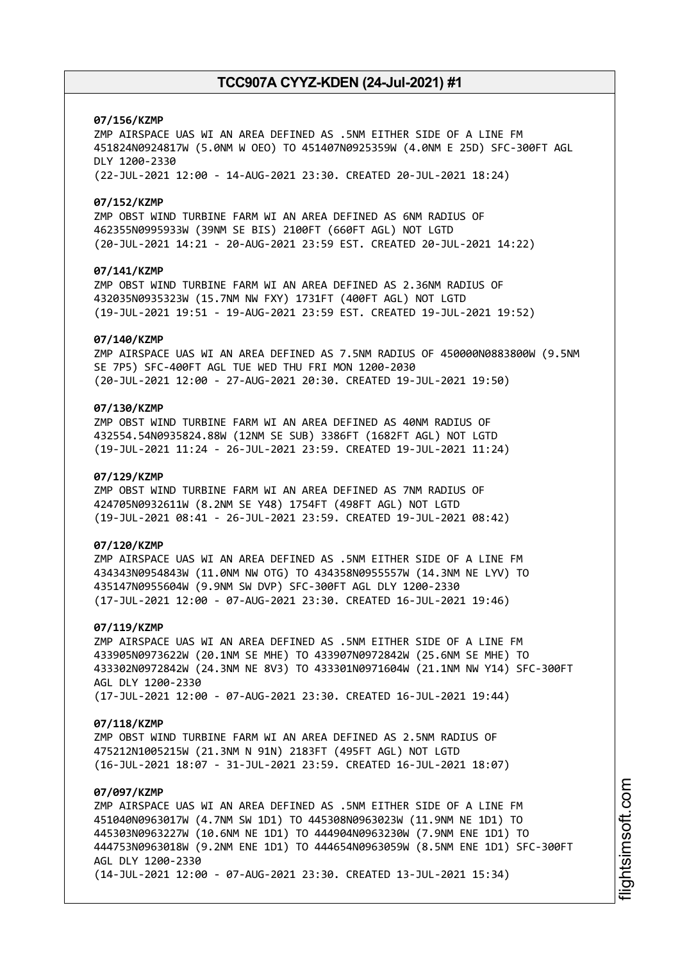## **07/156/KZMP**

ZMP AIRSPACE UAS WI AN AREA DEFINED AS .5NM EITHER SIDE OF A LINE FM 451824N0924817W (5.0NM W OEO) TO 451407N0925359W (4.0NM E 25D) SFC-300FT AGL DLY 1200-2330 (22-JUL-2021 12:00 - 14-AUG-2021 23:30. CREATED 20-JUL-2021 18:24)

### **07/152/KZMP**

ZMP OBST WIND TURBINE FARM WI AN AREA DEFINED AS 6NM RADIUS OF 462355N0995933W (39NM SE BIS) 2100FT (660FT AGL) NOT LGTD (20-JUL-2021 14:21 - 20-AUG-2021 23:59 EST. CREATED 20-JUL-2021 14:22)

## **07/141/KZMP**

ZMP OBST WIND TURBINE FARM WI AN AREA DEFINED AS 2.36NM RADIUS OF 432035N0935323W (15.7NM NW FXY) 1731FT (400FT AGL) NOT LGTD (19-JUL-2021 19:51 - 19-AUG-2021 23:59 EST. CREATED 19-JUL-2021 19:52)

#### **07/140/KZMP**

ZMP AIRSPACE UAS WI AN AREA DEFINED AS 7.5NM RADIUS OF 450000N0883800W (9.5NM SE 7P5) SFC-400FT AGL TUE WED THU FRI MON 1200-2030 (20-JUL-2021 12:00 - 27-AUG-2021 20:30. CREATED 19-JUL-2021 19:50)

# **07/130/KZMP**

ZMP OBST WIND TURBINE FARM WI AN AREA DEFINED AS 40NM RADIUS OF 432554.54N0935824.88W (12NM SE SUB) 3386FT (1682FT AGL) NOT LGTD (19-JUL-2021 11:24 - 26-JUL-2021 23:59. CREATED 19-JUL-2021 11:24)

## **07/129/KZMP**

ZMP OBST WIND TURBINE FARM WI AN AREA DEFINED AS 7NM RADIUS OF 424705N0932611W (8.2NM SE Y48) 1754FT (498FT AGL) NOT LGTD (19-JUL-2021 08:41 - 26-JUL-2021 23:59. CREATED 19-JUL-2021 08:42)

## **07/120/KZMP**

ZMP AIRSPACE UAS WI AN AREA DEFINED AS .5NM EITHER SIDE OF A LINE FM 434343N0954843W (11.0NM NW OTG) TO 434358N0955557W (14.3NM NE LYV) TO 435147N0955604W (9.9NM SW DVP) SFC-300FT AGL DLY 1200-2330 (17-JUL-2021 12:00 - 07-AUG-2021 23:30. CREATED 16-JUL-2021 19:46)

#### **07/119/KZMP**

ZMP AIRSPACE UAS WI AN AREA DEFINED AS .5NM EITHER SIDE OF A LINE FM 433905N0973622W (20.1NM SE MHE) TO 433907N0972842W (25.6NM SE MHE) TO 433302N0972842W (24.3NM NE 8V3) TO 433301N0971604W (21.1NM NW Y14) SFC-300FT AGL DLY 1200-2330 (17-JUL-2021 12:00 - 07-AUG-2021 23:30. CREATED 16-JUL-2021 19:44)

#### **07/118/KZMP**

ZMP OBST WIND TURBINE FARM WI AN AREA DEFINED AS 2.5NM RADIUS OF 475212N1005215W (21.3NM N 91N) 2183FT (495FT AGL) NOT LGTD (16-JUL-2021 18:07 - 31-JUL-2021 23:59. CREATED 16-JUL-2021 18:07)

# **07/097/KZMP**

ZMP AIRSPACE UAS WI AN AREA DEFINED AS .5NM EITHER SIDE OF A LINE FM 451040N0963017W (4.7NM SW 1D1) TO 445308N0963023W (11.9NM NE 1D1) TO 445303N0963227W (10.6NM NE 1D1) TO 444904N0963230W (7.9NM ENE 1D1) TO 444753N0963018W (9.2NM ENE 1D1) TO 444654N0963059W (8.5NM ENE 1D1) SFC-300FT AGL DLY 1200-2330 (14-JUL-2021 12:00 - 07-AUG-2021 23:30. CREATED 13-JUL-2021 15:34)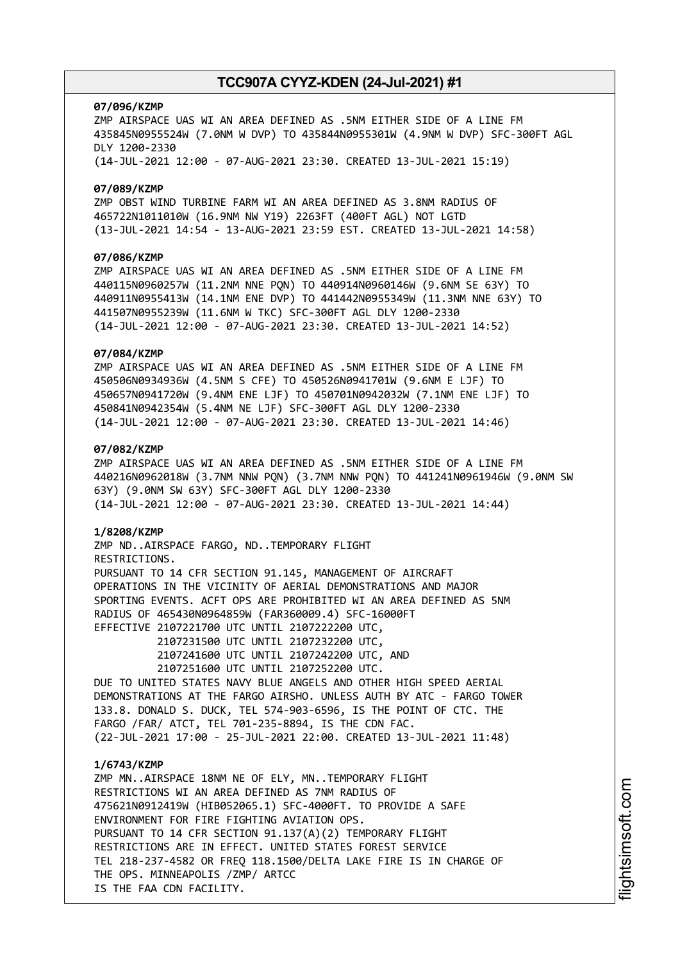#### **07/096/KZMP**

ZMP AIRSPACE UAS WI AN AREA DEFINED AS .5NM EITHER SIDE OF A LINE FM 435845N0955524W (7.0NM W DVP) TO 435844N0955301W (4.9NM W DVP) SFC-300FT AGL DLY 1200-2330 (14-JUL-2021 12:00 - 07-AUG-2021 23:30. CREATED 13-JUL-2021 15:19)

## **07/089/KZMP**

ZMP OBST WIND TURBINE FARM WI AN AREA DEFINED AS 3.8NM RADIUS OF 465722N1011010W (16.9NM NW Y19) 2263FT (400FT AGL) NOT LGTD (13-JUL-2021 14:54 - 13-AUG-2021 23:59 EST. CREATED 13-JUL-2021 14:58)

# **07/086/KZMP**

ZMP AIRSPACE UAS WI AN AREA DEFINED AS .5NM EITHER SIDE OF A LINE FM 440115N0960257W (11.2NM NNE PQN) TO 440914N0960146W (9.6NM SE 63Y) TO 440911N0955413W (14.1NM ENE DVP) TO 441442N0955349W (11.3NM NNE 63Y) TO 441507N0955239W (11.6NM W TKC) SFC-300FT AGL DLY 1200-2330 (14-JUL-2021 12:00 - 07-AUG-2021 23:30. CREATED 13-JUL-2021 14:52)

## **07/084/KZMP**

ZMP AIRSPACE UAS WI AN AREA DEFINED AS .5NM EITHER SIDE OF A LINE FM 450506N0934936W (4.5NM S CFE) TO 450526N0941701W (9.6NM E LJF) TO 450657N0941720W (9.4NM ENE LJF) TO 450701N0942032W (7.1NM ENE LJF) TO 450841N0942354W (5.4NM NE LJF) SFC-300FT AGL DLY 1200-2330 (14-JUL-2021 12:00 - 07-AUG-2021 23:30. CREATED 13-JUL-2021 14:46)

# **07/082/KZMP**

ZMP AIRSPACE UAS WI AN AREA DEFINED AS .5NM EITHER SIDE OF A LINE FM 440216N0962018W (3.7NM NNW PQN) (3.7NM NNW PQN) TO 441241N0961946W (9.0NM SW 63Y) (9.0NM SW 63Y) SFC-300FT AGL DLY 1200-2330 (14-JUL-2021 12:00 - 07-AUG-2021 23:30. CREATED 13-JUL-2021 14:44)

### **1/8208/KZMP**

ZMP ND..AIRSPACE FARGO, ND..TEMPORARY FLIGHT RESTRICTIONS. PURSUANT TO 14 CFR SECTION 91.145, MANAGEMENT OF AIRCRAFT OPERATIONS IN THE VICINITY OF AERIAL DEMONSTRATIONS AND MAJOR SPORTING EVENTS. ACFT OPS ARE PROHIBITED WI AN AREA DEFINED AS 5NM RADIUS OF 465430N0964859W (FAR360009.4) SFC-16000FT EFFECTIVE 2107221700 UTC UNTIL 2107222200 UTC,

> 2107231500 UTC UNTIL 2107232200 UTC, 2107241600 UTC UNTIL 2107242200 UTC, AND 2107251600 UTC UNTIL 2107252200 UTC.

DUE TO UNITED STATES NAVY BLUE ANGELS AND OTHER HIGH SPEED AERIAL DEMONSTRATIONS AT THE FARGO AIRSHO. UNLESS AUTH BY ATC - FARGO TOWER 133.8. DONALD S. DUCK, TEL 574-903-6596, IS THE POINT OF CTC. THE FARGO /FAR/ ATCT, TEL 701-235-8894, IS THE CDN FAC. (22-JUL-2021 17:00 - 25-JUL-2021 22:00. CREATED 13-JUL-2021 11:48)

### **1/6743/KZMP**

ZMP MN..AIRSPACE 18NM NE OF ELY, MN..TEMPORARY FLIGHT RESTRICTIONS WI AN AREA DEFINED AS 7NM RADIUS OF 475621N0912419W (HIB052065.1) SFC-4000FT. TO PROVIDE A SAFE ENVIRONMENT FOR FIRE FIGHTING AVIATION OPS. PURSUANT TO 14 CFR SECTION 91.137(A)(2) TEMPORARY FLIGHT RESTRICTIONS ARE IN EFFECT. UNITED STATES FOREST SERVICE TEL 218-237-4582 OR FREQ 118.1500/DELTA LAKE FIRE IS IN CHARGE OF THE OPS. MINNEAPOLIS /ZMP/ ARTCC IS THE FAA CDN FACILITY.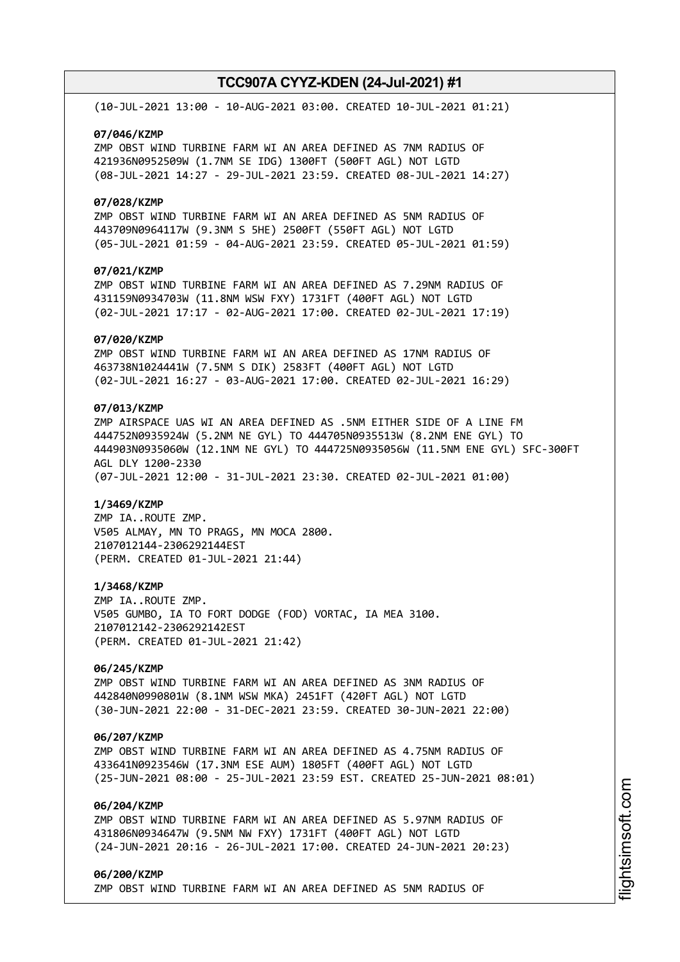(10-JUL-2021 13:00 - 10-AUG-2021 03:00. CREATED 10-JUL-2021 01:21)

### **07/046/KZMP**

ZMP OBST WIND TURBINE FARM WI AN AREA DEFINED AS 7NM RADIUS OF 421936N0952509W (1.7NM SE IDG) 1300FT (500FT AGL) NOT LGTD (08-JUL-2021 14:27 - 29-JUL-2021 23:59. CREATED 08-JUL-2021 14:27)

### **07/028/KZMP**

ZMP OBST WIND TURBINE FARM WI AN AREA DEFINED AS 5NM RADIUS OF 443709N0964117W (9.3NM S 5HE) 2500FT (550FT AGL) NOT LGTD (05-JUL-2021 01:59 - 04-AUG-2021 23:59. CREATED 05-JUL-2021 01:59)

# **07/021/KZMP**

ZMP OBST WIND TURBINE FARM WI AN AREA DEFINED AS 7.29NM RADIUS OF 431159N0934703W (11.8NM WSW FXY) 1731FT (400FT AGL) NOT LGTD (02-JUL-2021 17:17 - 02-AUG-2021 17:00. CREATED 02-JUL-2021 17:19)

### **07/020/KZMP**

ZMP OBST WIND TURBINE FARM WI AN AREA DEFINED AS 17NM RADIUS OF 463738N1024441W (7.5NM S DIK) 2583FT (400FT AGL) NOT LGTD (02-JUL-2021 16:27 - 03-AUG-2021 17:00. CREATED 02-JUL-2021 16:29)

# **07/013/KZMP**

ZMP AIRSPACE UAS WI AN AREA DEFINED AS .5NM EITHER SIDE OF A LINE FM 444752N0935924W (5.2NM NE GYL) TO 444705N0935513W (8.2NM ENE GYL) TO 444903N0935060W (12.1NM NE GYL) TO 444725N0935056W (11.5NM ENE GYL) SFC-300FT AGL DLY 1200-2330 (07-JUL-2021 12:00 - 31-JUL-2021 23:30. CREATED 02-JUL-2021 01:00)

#### **1/3469/KZMP**

ZMP IA..ROUTE ZMP. V505 ALMAY, MN TO PRAGS, MN MOCA 2800. 2107012144-2306292144EST (PERM. CREATED 01-JUL-2021 21:44)

#### **1/3468/KZMP**

ZMP IA..ROUTE ZMP. V505 GUMBO, IA TO FORT DODGE (FOD) VORTAC, IA MEA 3100. 2107012142-2306292142EST (PERM. CREATED 01-JUL-2021 21:42)

# **06/245/KZMP**

ZMP OBST WIND TURBINE FARM WI AN AREA DEFINED AS 3NM RADIUS OF 442840N0990801W (8.1NM WSW MKA) 2451FT (420FT AGL) NOT LGTD (30-JUN-2021 22:00 - 31-DEC-2021 23:59. CREATED 30-JUN-2021 22:00)

## **06/207/KZMP**

ZMP OBST WIND TURBINE FARM WI AN AREA DEFINED AS 4.75NM RADIUS OF 433641N0923546W (17.3NM ESE AUM) 1805FT (400FT AGL) NOT LGTD (25-JUN-2021 08:00 - 25-JUL-2021 23:59 EST. CREATED 25-JUN-2021 08:01)

# **06/204/KZMP**

ZMP OBST WIND TURBINE FARM WI AN AREA DEFINED AS 5.97NM RADIUS OF 431806N0934647W (9.5NM NW FXY) 1731FT (400FT AGL) NOT LGTD (24-JUN-2021 20:16 - 26-JUL-2021 17:00. CREATED 24-JUN-2021 20:23)

## **06/200/KZMP** ZMP OBST WIND TURBINE FARM WI AN AREA DEFINED AS 5NM RADIUS OF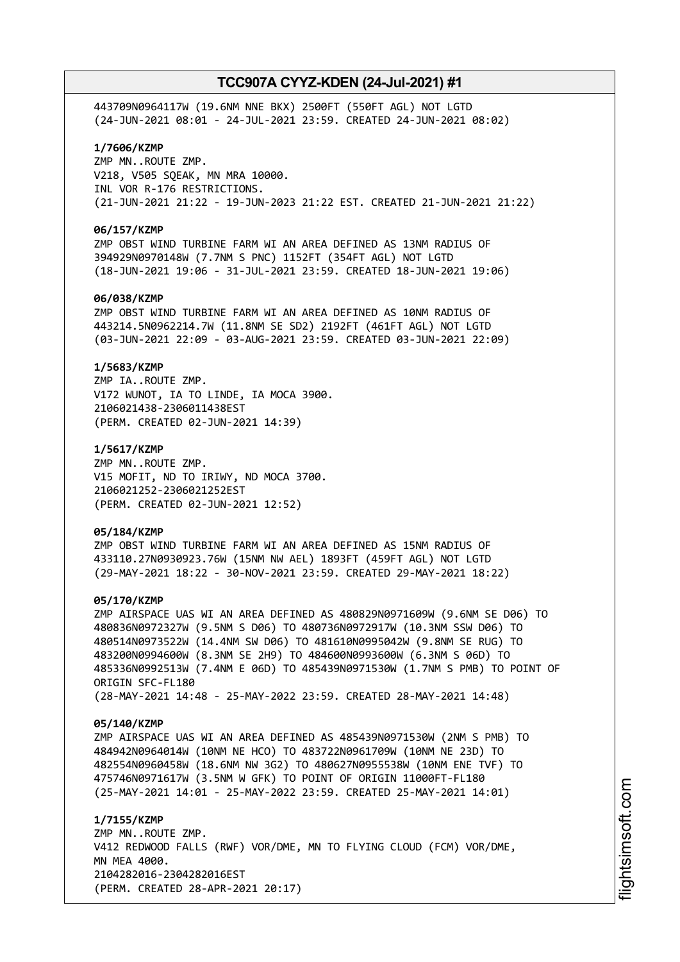443709N0964117W (19.6NM NNE BKX) 2500FT (550FT AGL) NOT LGTD (24-JUN-2021 08:01 - 24-JUL-2021 23:59. CREATED 24-JUN-2021 08:02)

# **1/7606/KZMP**

ZMP MN..ROUTE ZMP. V218, V505 SQEAK, MN MRA 10000. INL VOR R-176 RESTRICTIONS. (21-JUN-2021 21:22 - 19-JUN-2023 21:22 EST. CREATED 21-JUN-2021 21:22)

## **06/157/KZMP**

ZMP OBST WIND TURBINE FARM WI AN AREA DEFINED AS 13NM RADIUS OF 394929N0970148W (7.7NM S PNC) 1152FT (354FT AGL) NOT LGTD (18-JUN-2021 19:06 - 31-JUL-2021 23:59. CREATED 18-JUN-2021 19:06)

## **06/038/KZMP**

ZMP OBST WIND TURBINE FARM WI AN AREA DEFINED AS 10NM RADIUS OF 443214.5N0962214.7W (11.8NM SE SD2) 2192FT (461FT AGL) NOT LGTD (03-JUN-2021 22:09 - 03-AUG-2021 23:59. CREATED 03-JUN-2021 22:09)

### **1/5683/KZMP**

ZMP IA..ROUTE ZMP. V172 WUNOT, IA TO LINDE, IA MOCA 3900. 2106021438-2306011438EST (PERM. CREATED 02-JUN-2021 14:39)

### **1/5617/KZMP**

ZMP MN..ROUTE ZMP. V15 MOFIT, ND TO IRIWY, ND MOCA 3700. 2106021252-2306021252EST (PERM. CREATED 02-JUN-2021 12:52)

### **05/184/KZMP**

ZMP OBST WIND TURBINE FARM WI AN AREA DEFINED AS 15NM RADIUS OF 433110.27N0930923.76W (15NM NW AEL) 1893FT (459FT AGL) NOT LGTD (29-MAY-2021 18:22 - 30-NOV-2021 23:59. CREATED 29-MAY-2021 18:22)

### **05/170/KZMP**

ZMP AIRSPACE UAS WI AN AREA DEFINED AS 480829N0971609W (9.6NM SE D06) TO 480836N0972327W (9.5NM S D06) TO 480736N0972917W (10.3NM SSW D06) TO 480514N0973522W (14.4NM SW D06) TO 481610N0995042W (9.8NM SE RUG) TO 483200N0994600W (8.3NM SE 2H9) TO 484600N0993600W (6.3NM S 06D) TO 485336N0992513W (7.4NM E 06D) TO 485439N0971530W (1.7NM S PMB) TO POINT OF ORIGIN SFC-FL180 (28-MAY-2021 14:48 - 25-MAY-2022 23:59. CREATED 28-MAY-2021 14:48)

#### **05/140/KZMP**

ZMP AIRSPACE UAS WI AN AREA DEFINED AS 485439N0971530W (2NM S PMB) TO 484942N0964014W (10NM NE HCO) TO 483722N0961709W (10NM NE 23D) TO 482554N0960458W (18.6NM NW 3G2) TO 480627N0955538W (10NM ENE TVF) TO 475746N0971617W (3.5NM W GFK) TO POINT OF ORIGIN 11000FT-FL180 (25-MAY-2021 14:01 - 25-MAY-2022 23:59. CREATED 25-MAY-2021 14:01)

**1/7155/KZMP** ZMP MN..ROUTE ZMP. V412 REDWOOD FALLS (RWF) VOR/DME, MN TO FLYING CLOUD (FCM) VOR/DME, MN MEA 4000. 2104282016-2304282016EST (PERM. CREATED 28-APR-2021 20:17)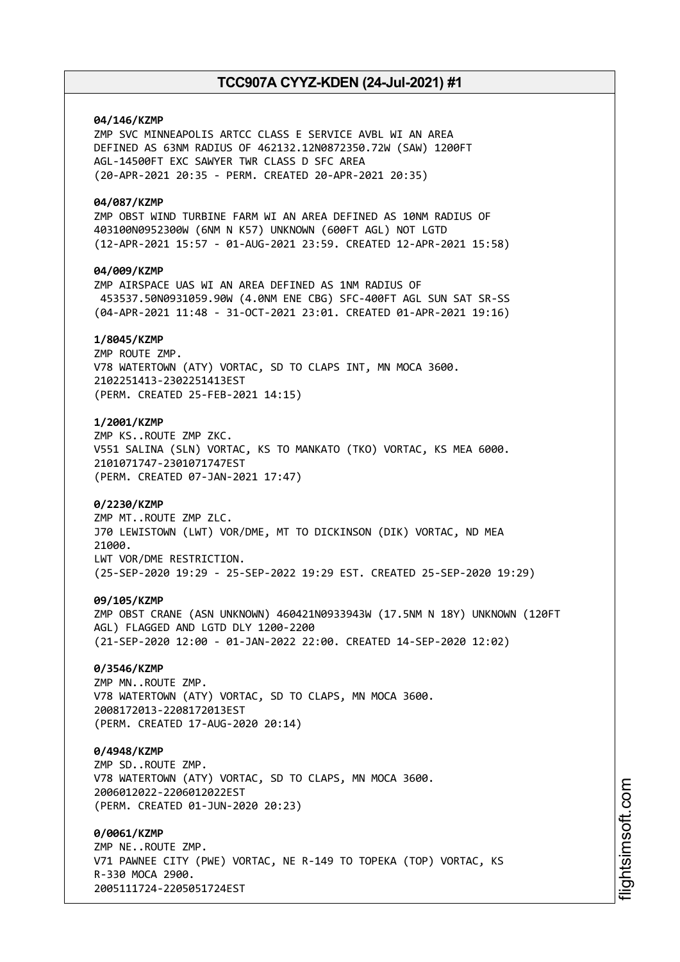# **04/146/KZMP**

ZMP SVC MINNEAPOLIS ARTCC CLASS E SERVICE AVBL WI AN AREA DEFINED AS 63NM RADIUS OF 462132.12N0872350.72W (SAW) 1200FT AGL-14500FT EXC SAWYER TWR CLASS D SFC AREA (20-APR-2021 20:35 - PERM. CREATED 20-APR-2021 20:35)

## **04/087/KZMP**

ZMP OBST WIND TURBINE FARM WI AN AREA DEFINED AS 10NM RADIUS OF 403100N0952300W (6NM N K57) UNKNOWN (600FT AGL) NOT LGTD (12-APR-2021 15:57 - 01-AUG-2021 23:59. CREATED 12-APR-2021 15:58)

# **04/009/KZMP**

ZMP AIRSPACE UAS WI AN AREA DEFINED AS 1NM RADIUS OF 453537.50N0931059.90W (4.0NM ENE CBG) SFC-400FT AGL SUN SAT SR-SS (04-APR-2021 11:48 - 31-OCT-2021 23:01. CREATED 01-APR-2021 19:16)

# **1/8045/KZMP**

ZMP ROUTE ZMP. V78 WATERTOWN (ATY) VORTAC, SD TO CLAPS INT, MN MOCA 3600. 2102251413-2302251413EST (PERM. CREATED 25-FEB-2021 14:15)

# **1/2001/KZMP**

ZMP KS..ROUTE ZMP ZKC. V551 SALINA (SLN) VORTAC, KS TO MANKATO (TKO) VORTAC, KS MEA 6000. 2101071747-2301071747EST (PERM. CREATED 07-JAN-2021 17:47)

## **0/2230/KZMP**

ZMP MT..ROUTE ZMP ZLC. J70 LEWISTOWN (LWT) VOR/DME, MT TO DICKINSON (DIK) VORTAC, ND MEA 21000. LWT VOR/DME RESTRICTION. (25-SEP-2020 19:29 - 25-SEP-2022 19:29 EST. CREATED 25-SEP-2020 19:29)

## **09/105/KZMP**

ZMP OBST CRANE (ASN UNKNOWN) 460421N0933943W (17.5NM N 18Y) UNKNOWN (120FT AGL) FLAGGED AND LGTD DLY 1200-2200 (21-SEP-2020 12:00 - 01-JAN-2022 22:00. CREATED 14-SEP-2020 12:02)

## **0/3546/KZMP**

ZMP MN..ROUTE ZMP. V78 WATERTOWN (ATY) VORTAC, SD TO CLAPS, MN MOCA 3600. 2008172013-2208172013EST (PERM. CREATED 17-AUG-2020 20:14)

## **0/4948/KZMP**

ZMP SD..ROUTE ZMP. V78 WATERTOWN (ATY) VORTAC, SD TO CLAPS, MN MOCA 3600. 2006012022-2206012022EST (PERM. CREATED 01-JUN-2020 20:23)

### **0/0061/KZMP**

ZMP NE..ROUTE ZMP. V71 PAWNEE CITY (PWE) VORTAC, NE R-149 TO TOPEKA (TOP) VORTAC, KS R-330 MOCA 2900. 2005111724-2205051724EST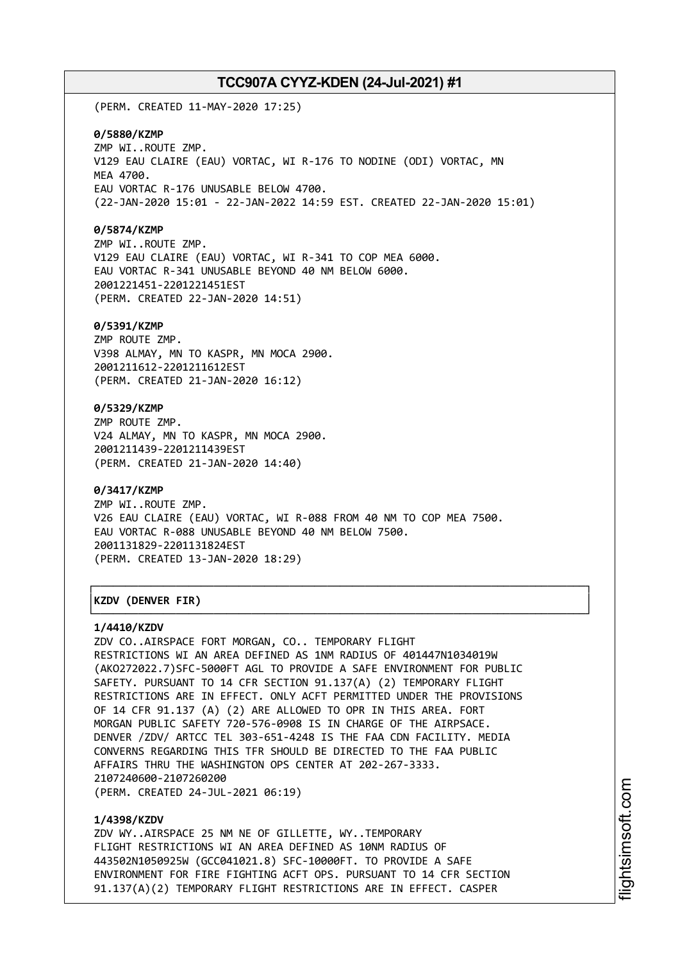(PERM. CREATED 11-MAY-2020 17:25)

### **0/5880/KZMP**

ZMP WI..ROUTE ZMP. V129 EAU CLAIRE (EAU) VORTAC, WI R-176 TO NODINE (ODI) VORTAC, MN MEA 4700. EAU VORTAC R-176 UNUSABLE BELOW 4700. (22-JAN-2020 15:01 - 22-JAN-2022 14:59 EST. CREATED 22-JAN-2020 15:01)

## **0/5874/KZMP**

ZMP WI..ROUTE ZMP. V129 EAU CLAIRE (EAU) VORTAC, WI R-341 TO COP MEA 6000. EAU VORTAC R-341 UNUSABLE BEYOND 40 NM BELOW 6000. 2001221451-2201221451EST (PERM. CREATED 22-JAN-2020 14:51)

### **0/5391/KZMP**

ZMP ROUTE ZMP. V398 ALMAY, MN TO KASPR, MN MOCA 2900. 2001211612-2201211612EST (PERM. CREATED 21-JAN-2020 16:12)

# **0/5329/KZMP**

ZMP ROUTE ZMP. V24 ALMAY, MN TO KASPR, MN MOCA 2900. 2001211439-2201211439EST (PERM. CREATED 21-JAN-2020 14:40)

## **0/3417/KZMP**

ZMP WI..ROUTE ZMP. V26 EAU CLAIRE (EAU) VORTAC, WI R-088 FROM 40 NM TO COP MEA 7500. EAU VORTAC R-088 UNUSABLE BEYOND 40 NM BELOW 7500. 2001131829-2201131824EST (PERM. CREATED 13-JAN-2020 18:29)

┌──────────────────────────────────────────────────────────────────────────────┐

└──────────────────────────────────────────────────────────────────────────────┘

# │**KZDV (DENVER FIR)** │

#### **1/4410/KZDV**

ZDV CO..AIRSPACE FORT MORGAN, CO.. TEMPORARY FLIGHT RESTRICTIONS WI AN AREA DEFINED AS 1NM RADIUS OF 401447N1034019W (AKO272022.7)SFC-5000FT AGL TO PROVIDE A SAFE ENVIRONMENT FOR PUBLIC SAFETY. PURSUANT TO 14 CFR SECTION 91.137(A) (2) TEMPORARY FLIGHT RESTRICTIONS ARE IN EFFECT. ONLY ACFT PERMITTED UNDER THE PROVISIONS OF 14 CFR 91.137 (A) (2) ARE ALLOWED TO OPR IN THIS AREA. FORT MORGAN PUBLIC SAFETY 720-576-0908 IS IN CHARGE OF THE AIRPSACE. DENVER /ZDV/ ARTCC TEL 303-651-4248 IS THE FAA CDN FACILITY. MEDIA CONVERNS REGARDING THIS TFR SHOULD BE DIRECTED TO THE FAA PUBLIC AFFAIRS THRU THE WASHINGTON OPS CENTER AT 202-267-3333. 2107240600-2107260200 (PERM. CREATED 24-JUL-2021 06:19)

#### **1/4398/KZDV**

ZDV WY..AIRSPACE 25 NM NE OF GILLETTE, WY..TEMPORARY FLIGHT RESTRICTIONS WI AN AREA DEFINED AS 10NM RADIUS OF 443502N1050925W (GCC041021.8) SFC-10000FT. TO PROVIDE A SAFE ENVIRONMENT FOR FIRE FIGHTING ACFT OPS. PURSUANT TO 14 CFR SECTION 91.137(A)(2) TEMPORARY FLIGHT RESTRICTIONS ARE IN EFFECT. CASPER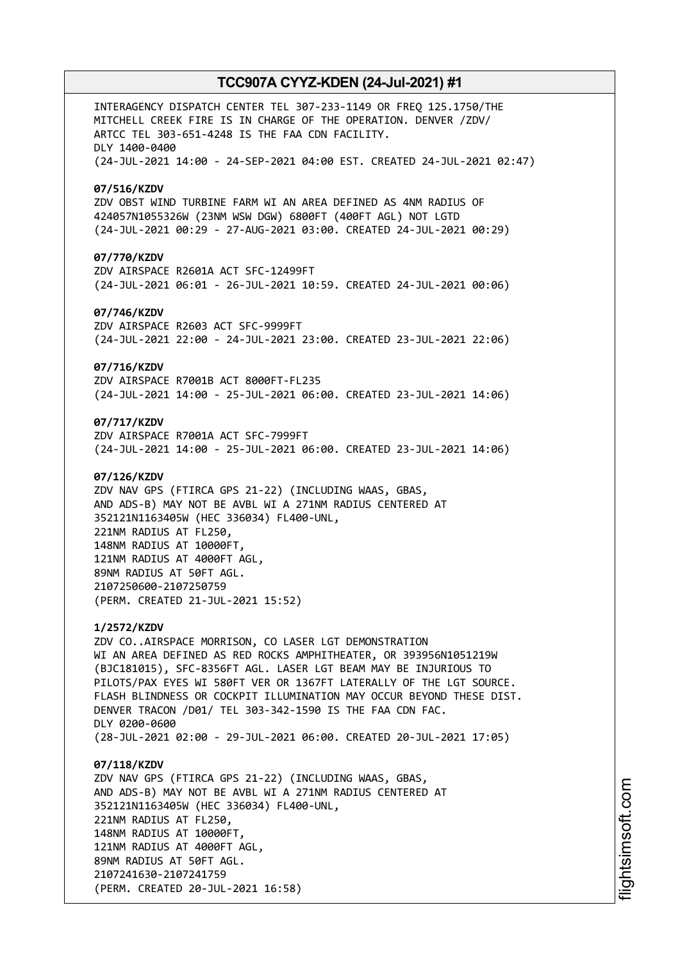INTERAGENCY DISPATCH CENTER TEL 307-233-1149 OR FREQ 125.1750/THE MITCHELL CREEK FIRE IS IN CHARGE OF THE OPERATION. DENVER /ZDV/ ARTCC TEL 303-651-4248 IS THE FAA CDN FACILITY. DLY 1400-0400 (24-JUL-2021 14:00 - 24-SEP-2021 04:00 EST. CREATED 24-JUL-2021 02:47) **07/516/KZDV** ZDV OBST WIND TURBINE FARM WI AN AREA DEFINED AS 4NM RADIUS OF 424057N1055326W (23NM WSW DGW) 6800FT (400FT AGL) NOT LGTD (24-JUL-2021 00:29 - 27-AUG-2021 03:00. CREATED 24-JUL-2021 00:29) **07/770/KZDV** ZDV AIRSPACE R2601A ACT SFC-12499FT (24-JUL-2021 06:01 - 26-JUL-2021 10:59. CREATED 24-JUL-2021 00:06) **07/746/KZDV** ZDV AIRSPACE R2603 ACT SFC-9999FT (24-JUL-2021 22:00 - 24-JUL-2021 23:00. CREATED 23-JUL-2021 22:06) **07/716/KZDV** ZDV AIRSPACE R7001B ACT 8000FT-FL235 (24-JUL-2021 14:00 - 25-JUL-2021 06:00. CREATED 23-JUL-2021 14:06) **07/717/KZDV** ZDV AIRSPACE R7001A ACT SFC-7999FT (24-JUL-2021 14:00 - 25-JUL-2021 06:00. CREATED 23-JUL-2021 14:06) **07/126/KZDV** ZDV NAV GPS (FTIRCA GPS 21-22) (INCLUDING WAAS, GBAS, AND ADS-B) MAY NOT BE AVBL WI A 271NM RADIUS CENTERED AT 352121N1163405W (HEC 336034) FL400-UNL, 221NM RADIUS AT FL250, 148NM RADIUS AT 10000FT, 121NM RADIUS AT 4000FT AGL, 89NM RADIUS AT 50FT AGL. 2107250600-2107250759 (PERM. CREATED 21-JUL-2021 15:52) **1/2572/KZDV** ZDV CO..AIRSPACE MORRISON, CO LASER LGT DEMONSTRATION WI AN AREA DEFINED AS RED ROCKS AMPHITHEATER, OR 393956N1051219W (BJC181015), SFC-8356FT AGL. LASER LGT BEAM MAY BE INJURIOUS TO PILOTS/PAX EYES WI 580FT VER OR 1367FT LATERALLY OF THE LGT SOURCE. FLASH BLINDNESS OR COCKPIT ILLUMINATION MAY OCCUR BEYOND THESE DIST. DENVER TRACON /D01/ TEL 303-342-1590 IS THE FAA CDN FAC. DLY 0200-0600 (28-JUL-2021 02:00 - 29-JUL-2021 06:00. CREATED 20-JUL-2021 17:05) **07/118/KZDV** ZDV NAV GPS (FTIRCA GPS 21-22) (INCLUDING WAAS, GBAS, AND ADS-B) MAY NOT BE AVBL WI A 271NM RADIUS CENTERED AT 352121N1163405W (HEC 336034) FL400-UNL, 221NM RADIUS AT FL250, 148NM RADIUS AT 10000FT, 121NM RADIUS AT 4000FT AGL, 89NM RADIUS AT 50FT AGL.

2107241630-2107241759

(PERM. CREATED 20-JUL-2021 16:58)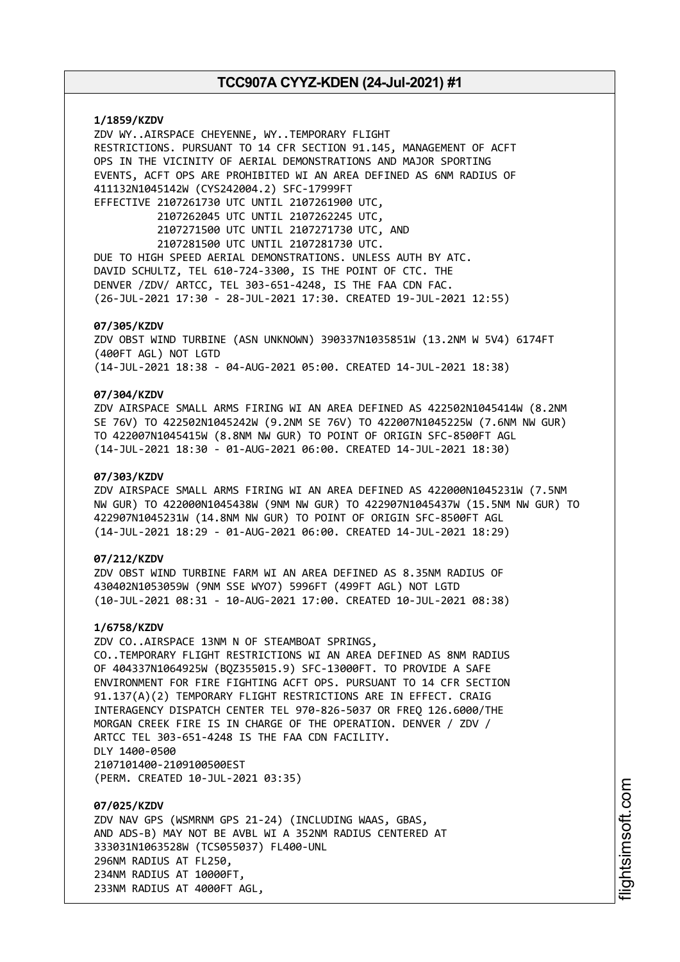**1/1859/KZDV** ZDV WY..AIRSPACE CHEYENNE, WY..TEMPORARY FLIGHT RESTRICTIONS. PURSUANT TO 14 CFR SECTION 91.145, MANAGEMENT OF ACFT OPS IN THE VICINITY OF AERIAL DEMONSTRATIONS AND MAJOR SPORTING EVENTS, ACFT OPS ARE PROHIBITED WI AN AREA DEFINED AS 6NM RADIUS OF 411132N1045142W (CYS242004.2) SFC-17999FT EFFECTIVE 2107261730 UTC UNTIL 2107261900 UTC, 2107262045 UTC UNTIL 2107262245 UTC, 2107271500 UTC UNTIL 2107271730 UTC, AND 2107281500 UTC UNTIL 2107281730 UTC. DUE TO HIGH SPEED AERIAL DEMONSTRATIONS. UNLESS AUTH BY ATC. DAVID SCHULTZ, TEL 610-724-3300, IS THE POINT OF CTC. THE DENVER /ZDV/ ARTCC, TEL 303-651-4248, IS THE FAA CDN FAC. (26-JUL-2021 17:30 - 28-JUL-2021 17:30. CREATED 19-JUL-2021 12:55) **07/305/KZDV** ZDV OBST WIND TURBINE (ASN UNKNOWN) 390337N1035851W (13.2NM W 5V4) 6174FT (400FT AGL) NOT LGTD (14-JUL-2021 18:38 - 04-AUG-2021 05:00. CREATED 14-JUL-2021 18:38)

# **07/304/KZDV**

ZDV AIRSPACE SMALL ARMS FIRING WI AN AREA DEFINED AS 422502N1045414W (8.2NM SE 76V) TO 422502N1045242W (9.2NM SE 76V) TO 422007N1045225W (7.6NM NW GUR) TO 422007N1045415W (8.8NM NW GUR) TO POINT OF ORIGIN SFC-8500FT AGL (14-JUL-2021 18:30 - 01-AUG-2021 06:00. CREATED 14-JUL-2021 18:30)

## **07/303/KZDV**

ZDV AIRSPACE SMALL ARMS FIRING WI AN AREA DEFINED AS 422000N1045231W (7.5NM NW GUR) TO 422000N1045438W (9NM NW GUR) TO 422907N1045437W (15.5NM NW GUR) TO 422907N1045231W (14.8NM NW GUR) TO POINT OF ORIGIN SFC-8500FT AGL (14-JUL-2021 18:29 - 01-AUG-2021 06:00. CREATED 14-JUL-2021 18:29)

# **07/212/KZDV**

ZDV OBST WIND TURBINE FARM WI AN AREA DEFINED AS 8.35NM RADIUS OF 430402N1053059W (9NM SSE WYO7) 5996FT (499FT AGL) NOT LGTD (10-JUL-2021 08:31 - 10-AUG-2021 17:00. CREATED 10-JUL-2021 08:38)

## **1/6758/KZDV**

ZDV CO..AIRSPACE 13NM N OF STEAMBOAT SPRINGS, CO..TEMPORARY FLIGHT RESTRICTIONS WI AN AREA DEFINED AS 8NM RADIUS OF 404337N1064925W (BQZ355015.9) SFC-13000FT. TO PROVIDE A SAFE ENVIRONMENT FOR FIRE FIGHTING ACFT OPS. PURSUANT TO 14 CFR SECTION 91.137(A)(2) TEMPORARY FLIGHT RESTRICTIONS ARE IN EFFECT. CRAIG INTERAGENCY DISPATCH CENTER TEL 970-826-5037 OR FREQ 126.6000/THE MORGAN CREEK FIRE IS IN CHARGE OF THE OPERATION. DENVER / ZDV / ARTCC TEL 303-651-4248 IS THE FAA CDN FACILITY. DLY 1400-0500 2107101400-2109100500EST (PERM. CREATED 10-JUL-2021 03:35)

**07/025/KZDV** ZDV NAV GPS (WSMRNM GPS 21-24) (INCLUDING WAAS, GBAS, AND ADS-B) MAY NOT BE AVBL WI A 352NM RADIUS CENTERED AT 333031N1063528W (TCS055037) FL400-UNL 296NM RADIUS AT FL250, 234NM RADIUS AT 10000FT, 233NM RADIUS AT 4000FT AGL,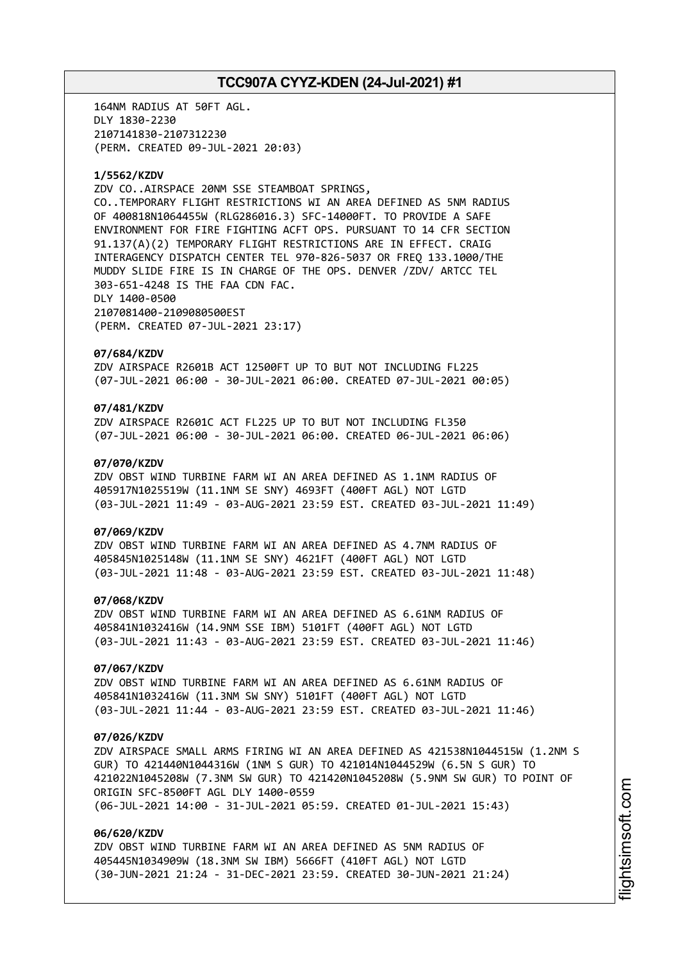164NM RADIUS AT 50FT AGL. DLY 1830-2230 2107141830-2107312230 (PERM. CREATED 09-JUL-2021 20:03)

## **1/5562/KZDV**

ZDV CO..AIRSPACE 20NM SSE STEAMBOAT SPRINGS, CO..TEMPORARY FLIGHT RESTRICTIONS WI AN AREA DEFINED AS 5NM RADIUS OF 400818N1064455W (RLG286016.3) SFC-14000FT. TO PROVIDE A SAFE ENVIRONMENT FOR FIRE FIGHTING ACFT OPS. PURSUANT TO 14 CFR SECTION 91.137(A)(2) TEMPORARY FLIGHT RESTRICTIONS ARE IN EFFECT. CRAIG INTERAGENCY DISPATCH CENTER TEL 970-826-5037 OR FREQ 133.1000/THE MUDDY SLIDE FIRE IS IN CHARGE OF THE OPS. DENVER /ZDV/ ARTCC TEL 303-651-4248 IS THE FAA CDN FAC. DLY 1400-0500 2107081400-2109080500EST (PERM. CREATED 07-JUL-2021 23:17)

#### **07/684/KZDV**

ZDV AIRSPACE R2601B ACT 12500FT UP TO BUT NOT INCLUDING FL225 (07-JUL-2021 06:00 - 30-JUL-2021 06:00. CREATED 07-JUL-2021 00:05)

# **07/481/KZDV**

ZDV AIRSPACE R2601C ACT FL225 UP TO BUT NOT INCLUDING FL350 (07-JUL-2021 06:00 - 30-JUL-2021 06:00. CREATED 06-JUL-2021 06:06)

## **07/070/KZDV**

ZDV OBST WIND TURBINE FARM WI AN AREA DEFINED AS 1.1NM RADIUS OF 405917N1025519W (11.1NM SE SNY) 4693FT (400FT AGL) NOT LGTD (03-JUL-2021 11:49 - 03-AUG-2021 23:59 EST. CREATED 03-JUL-2021 11:49)

### **07/069/KZDV**

ZDV OBST WIND TURBINE FARM WI AN AREA DEFINED AS 4.7NM RADIUS OF 405845N1025148W (11.1NM SE SNY) 4621FT (400FT AGL) NOT LGTD (03-JUL-2021 11:48 - 03-AUG-2021 23:59 EST. CREATED 03-JUL-2021 11:48)

# **07/068/KZDV**

ZDV OBST WIND TURBINE FARM WI AN AREA DEFINED AS 6.61NM RADIUS OF 405841N1032416W (14.9NM SSE IBM) 5101FT (400FT AGL) NOT LGTD (03-JUL-2021 11:43 - 03-AUG-2021 23:59 EST. CREATED 03-JUL-2021 11:46)

## **07/067/KZDV**

ZDV OBST WIND TURBINE FARM WI AN AREA DEFINED AS 6.61NM RADIUS OF 405841N1032416W (11.3NM SW SNY) 5101FT (400FT AGL) NOT LGTD (03-JUL-2021 11:44 - 03-AUG-2021 23:59 EST. CREATED 03-JUL-2021 11:46)

## **07/026/KZDV**

ZDV AIRSPACE SMALL ARMS FIRING WI AN AREA DEFINED AS 421538N1044515W (1.2NM S GUR) TO 421440N1044316W (1NM S GUR) TO 421014N1044529W (6.5N S GUR) TO 421022N1045208W (7.3NM SW GUR) TO 421420N1045208W (5.9NM SW GUR) TO POINT OF ORIGIN SFC-8500FT AGL DLY 1400-0559 (06-JUL-2021 14:00 - 31-JUL-2021 05:59. CREATED 01-JUL-2021 15:43)

### **06/620/KZDV**

ZDV OBST WIND TURBINE FARM WI AN AREA DEFINED AS 5NM RADIUS OF 405445N1034909W (18.3NM SW IBM) 5666FT (410FT AGL) NOT LGTD (30-JUN-2021 21:24 - 31-DEC-2021 23:59. CREATED 30-JUN-2021 21:24)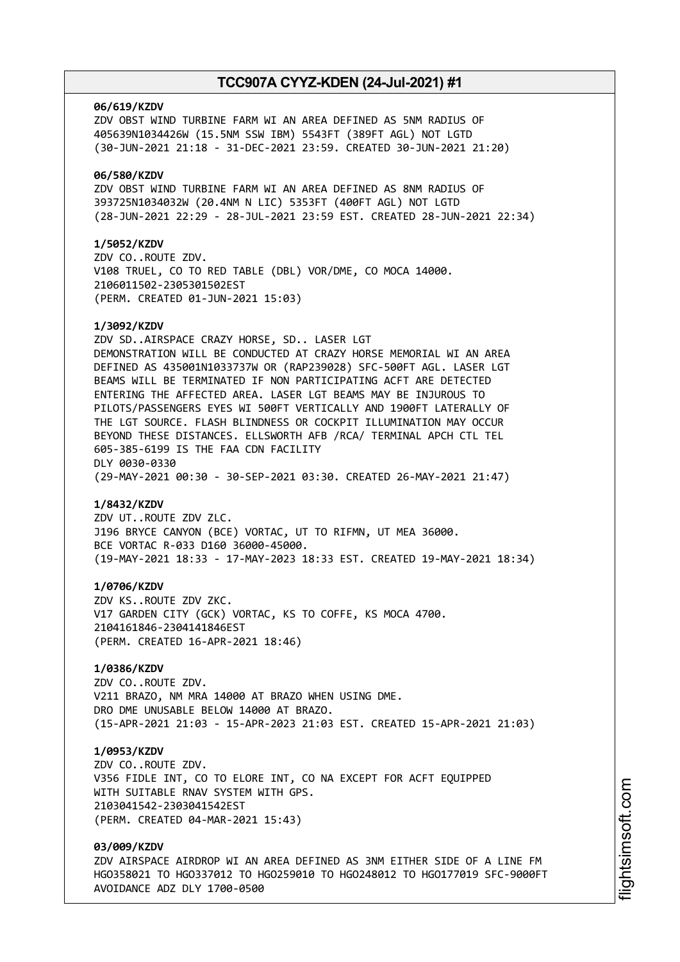#### **06/619/KZDV**

ZDV OBST WIND TURBINE FARM WI AN AREA DEFINED AS 5NM RADIUS OF 405639N1034426W (15.5NM SSW IBM) 5543FT (389FT AGL) NOT LGTD (30-JUN-2021 21:18 - 31-DEC-2021 23:59. CREATED 30-JUN-2021 21:20)

## **06/580/KZDV**

ZDV OBST WIND TURBINE FARM WI AN AREA DEFINED AS 8NM RADIUS OF 393725N1034032W (20.4NM N LIC) 5353FT (400FT AGL) NOT LGTD (28-JUN-2021 22:29 - 28-JUL-2021 23:59 EST. CREATED 28-JUN-2021 22:34)

## **1/5052/KZDV**

ZDV CO..ROUTE ZDV. V108 TRUEL, CO TO RED TABLE (DBL) VOR/DME, CO MOCA 14000. 2106011502-2305301502EST (PERM. CREATED 01-JUN-2021 15:03)

### **1/3092/KZDV**

ZDV SD..AIRSPACE CRAZY HORSE, SD.. LASER LGT DEMONSTRATION WILL BE CONDUCTED AT CRAZY HORSE MEMORIAL WI AN AREA DEFINED AS 435001N1033737W OR (RAP239028) SFC-500FT AGL. LASER LGT BEAMS WILL BE TERMINATED IF NON PARTICIPATING ACFT ARE DETECTED ENTERING THE AFFECTED AREA. LASER LGT BEAMS MAY BE INJUROUS TO PILOTS/PASSENGERS EYES WI 500FT VERTICALLY AND 1900FT LATERALLY OF THE LGT SOURCE. FLASH BLINDNESS OR COCKPIT ILLUMINATION MAY OCCUR BEYOND THESE DISTANCES. ELLSWORTH AFB /RCA/ TERMINAL APCH CTL TEL 605-385-6199 IS THE FAA CDN FACILITY DLY 0030-0330 (29-MAY-2021 00:30 - 30-SEP-2021 03:30. CREATED 26-MAY-2021 21:47)

#### **1/8432/KZDV**

ZDV UT..ROUTE ZDV ZLC. J196 BRYCE CANYON (BCE) VORTAC, UT TO RIFMN, UT MEA 36000. BCE VORTAC R-033 D160 36000-45000. (19-MAY-2021 18:33 - 17-MAY-2023 18:33 EST. CREATED 19-MAY-2021 18:34)

#### **1/0706/KZDV**

ZDV KS..ROUTE ZDV ZKC. V17 GARDEN CITY (GCK) VORTAC, KS TO COFFE, KS MOCA 4700. 2104161846-2304141846EST (PERM. CREATED 16-APR-2021 18:46)

# **1/0386/KZDV**

ZDV CO..ROUTE ZDV. V211 BRAZO, NM MRA 14000 AT BRAZO WHEN USING DME. DRO DME UNUSABLE BELOW 14000 AT BRAZO. (15-APR-2021 21:03 - 15-APR-2023 21:03 EST. CREATED 15-APR-2021 21:03)

#### **1/0953/KZDV**

ZDV CO..ROUTE ZDV. V356 FIDLE INT, CO TO ELORE INT, CO NA EXCEPT FOR ACFT EQUIPPED WITH SUITABLE RNAV SYSTEM WITH GPS. 2103041542-2303041542EST (PERM. CREATED 04-MAR-2021 15:43)

# **03/009/KZDV**

ZDV AIRSPACE AIRDROP WI AN AREA DEFINED AS 3NM EITHER SIDE OF A LINE FM HGO358021 TO HGO337012 TO HGO259010 TO HGO248012 TO HGO177019 SFC-9000FT AVOIDANCE ADZ DLY 1700-0500